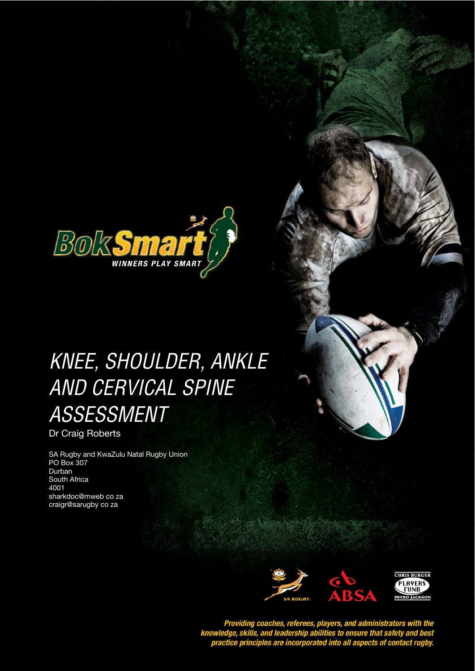

# KNEE, SHOULDER, ANKLE AND CERVICAL SPINE ASSESSMENT

Dr Craig Roberts

SA Rugby and KwaZulu Natal Rugby Union PO Box 307 Durban South Africa 4001 sharkdoc@mweb co za craigr@sarugby co za



Providing coaches, referees, players, and administrators with the<br>knowledge, skills, and leadership abilities to ensure that safety and best<br>practice principles are incorporated into all aspects of contact rugby.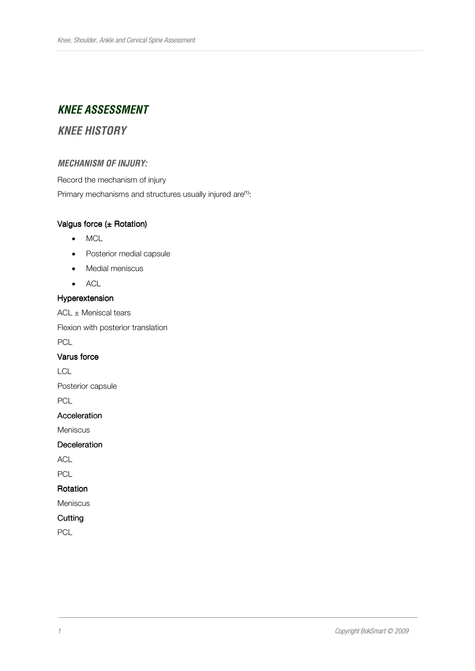# **KNEE ASSESSMENT**

# **KNEE HISTORY**

## **MECHANISM OF INJURY:**

Record the mechanism of injury

Primary mechanisms and structures usually injured are<sup>(1)</sup>:

## Valgus force  $(±$  Rotation)

- MCL
- Posterior medial capsule
- Medial meniscus
- ACL

## Hyperextension Hyperextension

 $ACL \pm$  Meniscal tears

Flexion with posterior translation

PCL

## Varus force

LCL

Posterior capsule

PCL

## Acceleration

Meniscus

#### Deceleration

ACL

PCL

## Rotation

Meniscus

## **Cutting**

PCL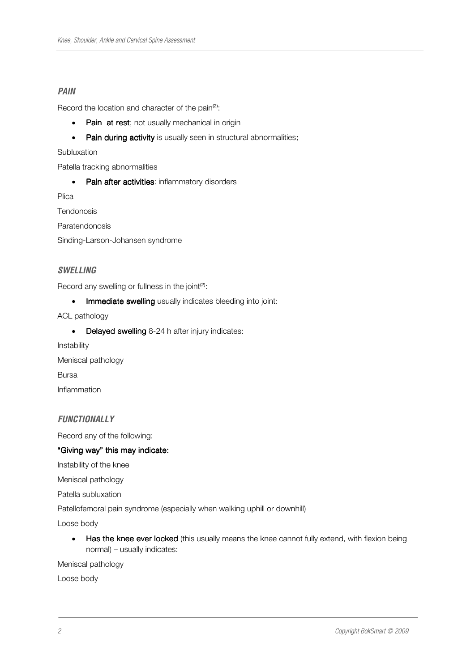## **PAIN**

Record the location and character of the pain<sup>(2)</sup>:

- Pain at rest; not usually mechanical in origin
- Pain during activity is usually seen in structural abnormalities:

#### Subluxation

Patella tracking abnormalities

• Pain after activities: inflammatory disorders

Plica

Tendonosis

Paratendonosis

Sinding-Larson-Johansen syndrome

## **SWELLING**

Record any swelling or fullness in the joint<sup>(2)</sup>:

• Immediate swelling usually indicates bleeding into joint:

ACL pathology

- Delayed swelling  $8-24$  h after injury indicates:
- Instability Meniscal pathology Bursa Inflammation

## **FUNCTIONALLY**

Record any of the following:

## "Giving way" this may indicate:

Instability of the knee

Meniscal pathology

Patella subluxation

Patellofemoral pain syndrome (especially when walking uphill or downhill)

Loose body

• Has the knee ever locked (this usually means the knee cannot fully extend, with flexion being normal) – usually indicates:

Meniscal pathology

Loose body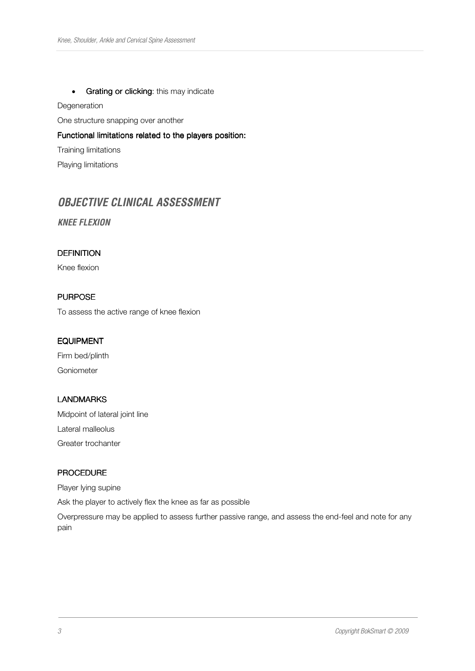#### • Grating or clicking: this may indicate

Degeneration

One structure snapping over another

Functional limitations related to the players position:

Training limitations

Playing limitations

# **OBJECTIVE CLINICAL ASSESSMENT**

**KNEE FLEXION** 

## **DEFINITION**

Knee flexion

## **PURPOSE**

To assess the active range of knee flexion

#### EQUIPMENT

Firm bed/plinth Goniometer

## LANDMARKS

Midpoint of lateral joint line Lateral malleolus Greater trochanter

#### PROCEDURE

Player lying supine

Ask the player to actively flex the knee as far as possible

Overpressure may be applied to assess further passive range, and assess the end-feel and note for any pain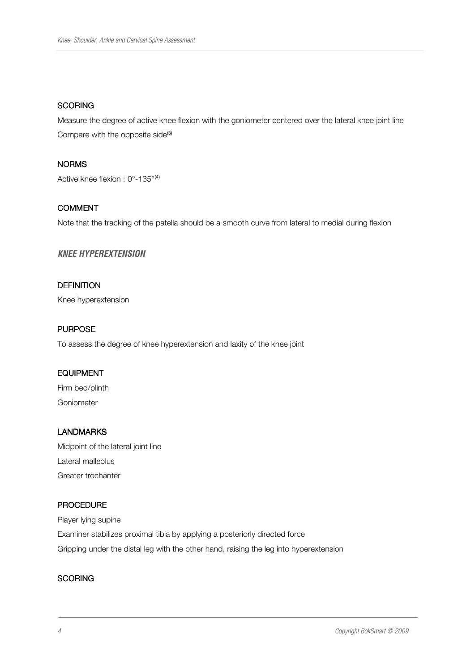#### **SCORING**

Measure the degree of active knee flexion with the goniometer centered over the lateral knee joint line Compare with the opposite side<sup>(3)</sup>

## NORMS

Active knee flexion : 0°-135°(4)

#### COMMENT

Note that the tracking of the patella should be a smooth curve from lateral to medial during flexion

#### **KNEE HYPEREXTENSION**

## **DEFINITION**

Knee hyperextension

## **PURPOSE**

To assess the degree of knee hyperextension and laxity of the knee joint

## **EQUIPMENT**

Firm bed/plinth Goniometer

## LANDMARKS

Midpoint of the lateral joint line Lateral malleolus Greater trochanter

## PROCEDURE

Player lying supine Examiner stabilizes proximal tibia by applying a posteriorly directed force Gripping under the distal leg with the other hand, raising the leg into hyperextension

#### **SCORING**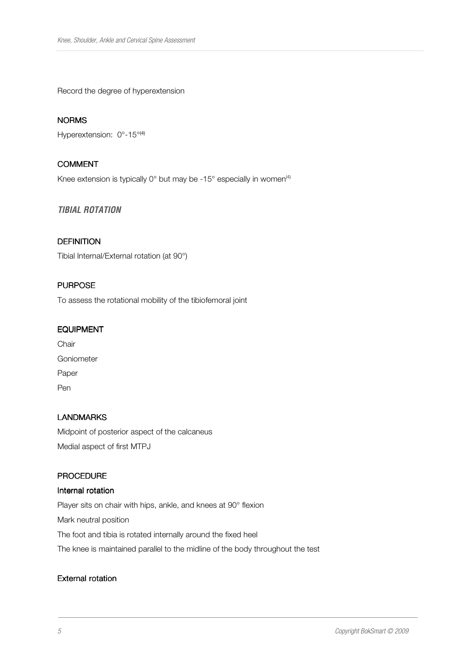Record the degree of hyperextension

#### NORMS

Hyperextension: 0°-15°<sup>(4)</sup>

## COMMENT

Knee extension is typically  $0^{\circ}$  but may be -15 $^{\circ}$  especially in women<sup>(4)</sup>

#### **TIBIAL ROTATION**

#### **DEFINITION**

Tibial Internal/External rotation (at 90°)

## **PURPOSE**

To assess the rotational mobility of the tibiofemoral joint

#### EQUIPMENT

| Chair      |
|------------|
| Goniometer |
| Paper      |
| Pen        |

## LANDMARKS

Midpoint of posterior aspect of the calcaneus Medial aspect of first MTPJ

## PROCEDURE

#### Internal rotation

Player sits on chair with hips, ankle, and knees at 90° flexion Mark neutral position The foot and tibia is rotated internally around the fixed heel The knee is maintained parallel to the midline of the body throughout the test

#### External rotation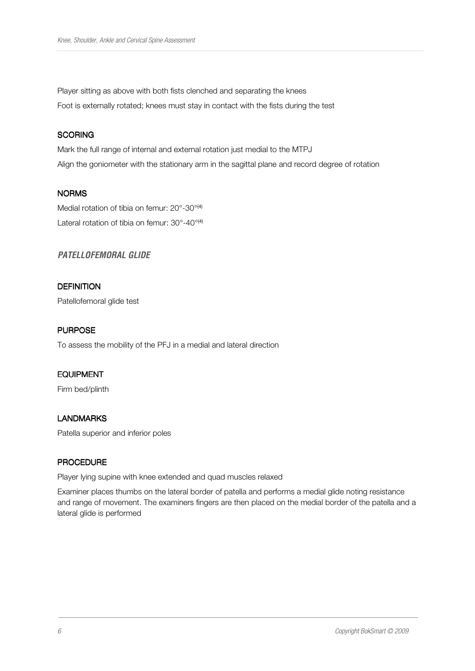Player sitting as above with both fists clenched and separating the knees Foot is externally rotated; knees must stay in contact with the fists during the test

## **SCORING**

Mark the full range of internal and external rotation just medial to the MTPJ Align the goniometer with the stationary arm in the sagittal plane and record degree of rotation

## NORMS

Medial rotation of tibia on femur: 20°-30°<sup>(4)</sup> Lateral rotation of tibia on femur: 30°-40°<sup>(4)</sup>

## **PATELLOFEMORAL GLIDE**

## **DEFINITION**

Patellofemoral glide test

## **PURPOSE**

To assess the mobility of the PFJ in a medial and lateral direction

## EQUIPMENT

Firm bed/plinth

#### LANDMARKS

Patella superior and inferior poles

## **PROCEDURE**

Player lying supine with knee extended and quad muscles relaxed

Examiner places thumbs on the lateral border of patella and performs a medial glide noting resistance and range of movement. The examiners fingers are then placed on the medial border of the patella and a lateral glide is performed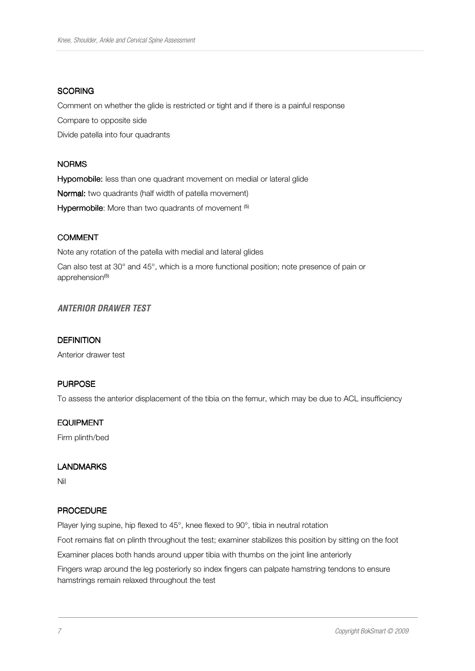#### **SCORING**

Comment on whether the glide is restricted or tight and if there is a painful response

Compare to opposite side

Divide patella into four quadrants

#### **NORMS**

Hypomobile: less than one quadrant movement on medial or lateral glide Normal: two quadrants (half width of patella movement) Hypermobile: More than two quadrants of movement (5)

#### COMMENT

Note any rotation of the patella with medial and lateral glides

Can also test at 30° and 45°, which is a more functional position; note presence of pain or apprehension<sup>(5)</sup>

## **ANTERIOR DRAWER TEST**

#### **DEFINITION**

Anterior drawer test

## **PURPOSE**

To assess the anterior displacement of the tibia on the femur, which may be due to ACL insufficiency

#### EQUIPMENT

Firm plinth/bed

#### LANDMARKS

Nil

#### **PROCEDURE**

Player lying supine, hip flexed to 45°, knee flexed to 90°, tibia in neutral rotation

Foot remains flat on plinth throughout the test; examiner stabilizes this position by sitting on the foot

Examiner places both hands around upper tibia with thumbs on the joint line anteriorly

Fingers wrap around the leg posteriorly so index fingers can palpate hamstring tendons to ensure hamstrings remain relaxed throughout the test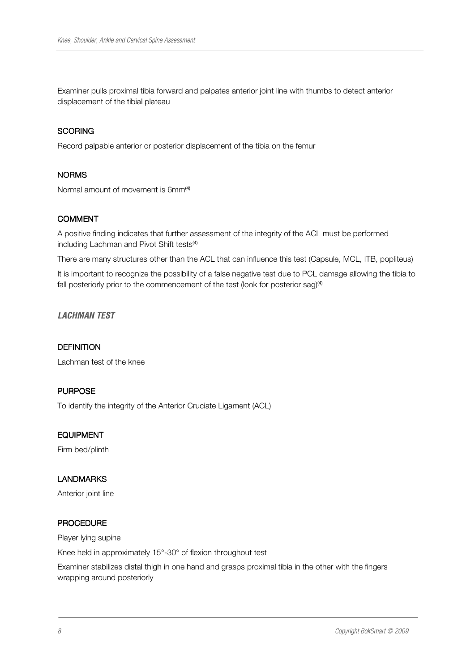Examiner pulls proximal tibia forward and palpates anterior joint line with thumbs to detect anterior displacement of the tibial plateau

#### **SCORING**

Record palpable anterior or posterior displacement of the tibia on the femur

#### **NORMS**

Normal amount of movement is 6mm<sup>(4)</sup>

#### COMMENT

A positive finding indicates that further assessment of the integrity of the ACL must be performed including Lachman and Pivot Shift tests<sup>(4)</sup>

There are many structures other than the ACL that can influence this test (Capsule, MCL, ITB, popliteus)

It is important to recognize the possibility of a false negative test due to PCL damage allowing the tibia to fall posteriorly prior to the commencement of the test (look for posterior sag)<sup>(4)</sup>

#### **LACHMAN TEST**

#### **DEFINITION**

Lachman test of the knee

#### **PURPOSE**

To identify the integrity of the Anterior Cruciate Ligament (ACL)

#### **EQUIPMENT**

Firm bed/plinth

#### LANDMARKS

Anterior joint line

#### **PROCEDURE**

Player lying supine

Knee held in approximately 15°-30° of flexion throughout test

Examiner stabilizes distal thigh in one hand and grasps proximal tibia in the other with the fingers wrapping around posteriorly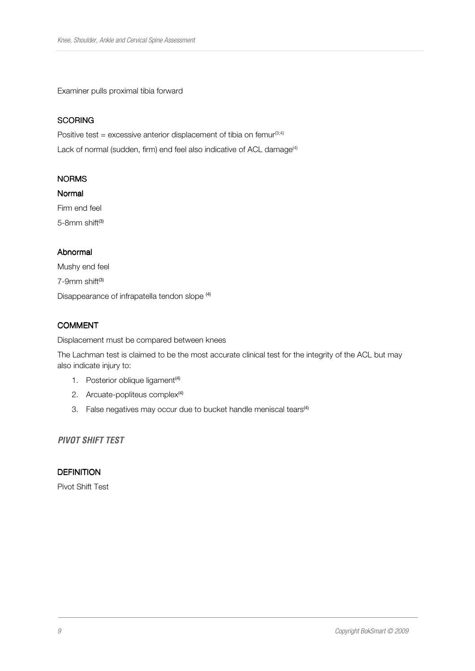Examiner pulls proximal tibia forward

## **SCORING**

Positive test  $=$  excessive anterior displacement of tibia on femur<sup>(3;4)</sup> Lack of normal (sudden, firm) end feel also indicative of ACL damage<sup>(4)</sup>

## NORMS

#### Normal

Firm end feel 5-8mm shift<sup>(3)</sup>

## Abnormal

Mushy end feel 7-9mm shift(3) Disappearance of infrapatella tendon slope (4)

## COMMENT

Displacement must be compared between knees

The Lachman test is claimed to be the most accurate clinical test for the integrity of the ACL but may also indicate injury to:

- 1. Posterior oblique ligament<sup>(4)</sup>
- 2. Arcuate-popliteus complex<sup>(4)</sup>
- 3. False negatives may occur due to bucket handle meniscal tears<sup>(4)</sup>

**PIVOT SHIFT TEST** 

#### **DEFINITION**

Pivot Shift Test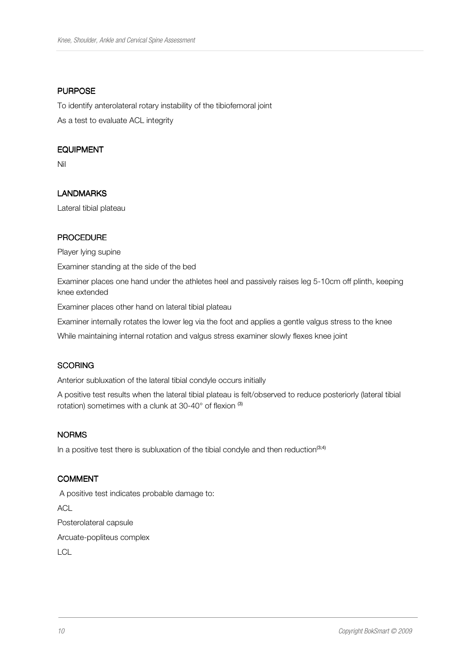## **PURPOSE**

To identify anterolateral rotary instability of the tibiofemoral joint As a test to evaluate ACL integrity

## EQUIPMENT

Nil

## LANDMARKS

Lateral tibial plateau

#### **PROCEDURE**

Player lying supine

Examiner standing at the side of the bed

Examiner places one hand under the athletes heel and passively raises leg 5-10cm off plinth, keeping knee extended

Examiner places other hand on lateral tibial plateau

Examiner internally rotates the lower leg via the foot and applies a gentle valgus stress to the knee

While maintaining internal rotation and valgus stress examiner slowly flexes knee joint

## **SCORING**

Anterior subluxation of the lateral tibial condyle occurs initially

A positive test results when the lateral tibial plateau is felt/observed to reduce posteriorly (lateral tibial rotation) sometimes with a clunk at 30-40° of flexion (3)

#### **NORMS**

In a positive test there is subluxation of the tibial condyle and then reduction<sup>(3;4)</sup>

#### COMMENT

 A positive test indicates probable damage to: **ACL** Posterolateral capsule Arcuate-popliteus complex

**LCL**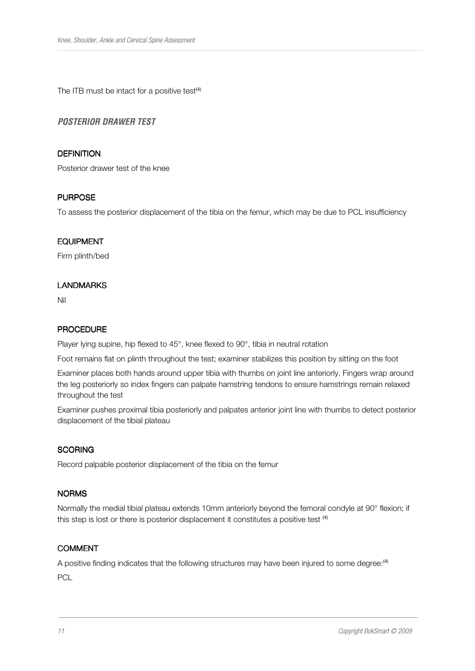The ITB must be intact for a positive test $(4)$ 

## **POSTERIOR DRAWER TEST**

#### **DEFINITION**

Posterior drawer test of the knee

#### **PURPOSE**

To assess the posterior displacement of the tibia on the femur, which may be due to PCL insufficiency

#### EQUIPMENT

Firm plinth/bed

#### LANDMARKS

Nil

#### PROCEDURE

Player lying supine, hip flexed to 45°, knee flexed to 90°, tibia in neutral rotation

Foot remains flat on plinth throughout the test; examiner stabilizes this position by sitting on the foot

Examiner places both hands around upper tibia with thumbs on joint line anteriorly. Fingers wrap around the leg posteriorly so index fingers can palpate hamstring tendons to ensure hamstrings remain relaxed throughout the test

Examiner pushes proximal tibia posteriorly and palpates anterior joint line with thumbs to detect posterior displacement of the tibial plateau

#### **SCORING**

Record palpable posterior displacement of the tibia on the femur

#### NORMS

Normally the medial tibial plateau extends 10mm anteriorly beyond the femoral condyle at 90° flexion; if this step is lost or there is posterior displacement it constitutes a positive test <sup>(4)</sup>

#### COMMENT

A positive finding indicates that the following structures may have been injured to some degree:(4) PCL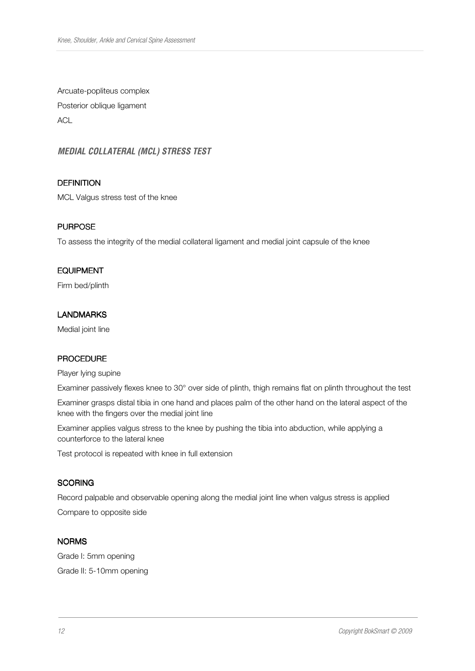Arcuate-popliteus complex Posterior oblique ligament **ACL** 

**MEDIAL COLLATERAL (MCL) STRESS TEST** 

## **DEFINITION**

MCL Valgus stress test of the knee

#### **PURPOSE**

To assess the integrity of the medial collateral ligament and medial joint capsule of the knee

#### EQUIPMENT

Firm bed/plinth

## LANDMARKS

Medial joint line

#### **PROCEDURE**

Player lying supine

Examiner passively flexes knee to 30° over side of plinth, thigh remains flat on plinth throughout the test

Examiner grasps distal tibia in one hand and places palm of the other hand on the lateral aspect of the knee with the fingers over the medial joint line

Examiner applies valgus stress to the knee by pushing the tibia into abduction, while applying a counterforce to the lateral knee

Test protocol is repeated with knee in full extension

#### **SCORING**

Record palpable and observable opening along the medial joint line when valgus stress is applied Compare to opposite side

#### NORMS

Grade I: 5mm opening Grade II: 5-10mm opening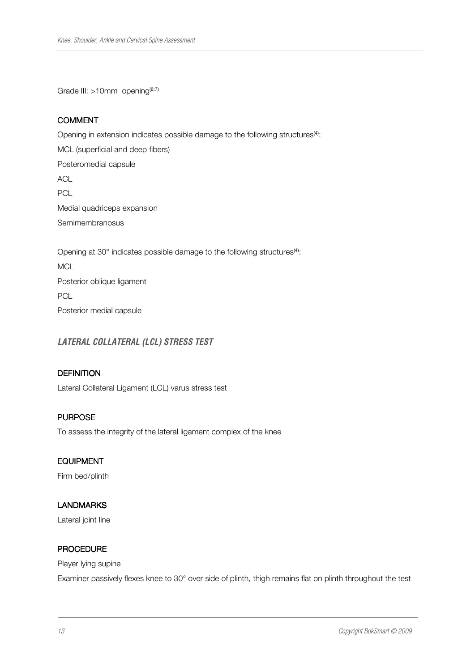Grade III: >10mm opening<sup>(6;7)</sup>

## COMMENT

Opening in extension indicates possible damage to the following structures<sup>(4)</sup>: MCL (superficial and deep fibers) Posteromedial capsule ACL **PCL** Medial quadriceps expansion Semimembranosus Opening at 30° indicates possible damage to the following structures<sup>(4)</sup>:

**MCL** Posterior oblique ligament PCL Posterior medial capsule

**LATERAL COLLATERAL (LCL) STRESS TEST** 

#### **DEFINITION**

Lateral Collateral Ligament (LCL) varus stress test

## **PURPOSE**

To assess the integrity of the lateral ligament complex of the knee

#### EQUIPMENT

Firm bed/plinth

## LANDMARKS

Lateral joint line

#### PROCEDURE

Player lying supine

Examiner passively flexes knee to 30° over side of plinth, thigh remains flat on plinth throughout the test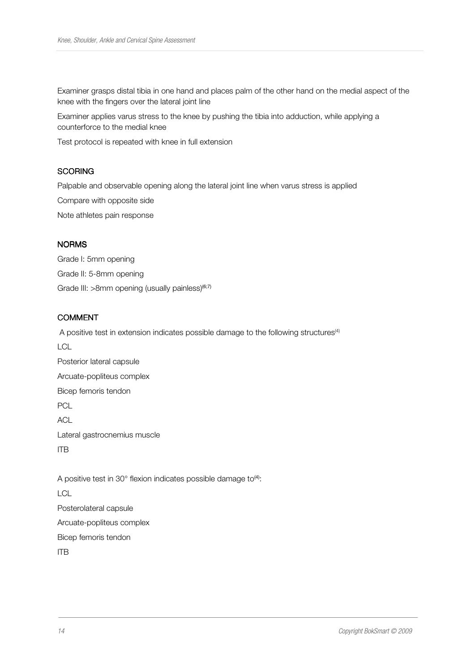Examiner grasps distal tibia in one hand and places palm of the other hand on the medial aspect of the knee with the fingers over the lateral joint line

Examiner applies varus stress to the knee by pushing the tibia into adduction, while applying a counterforce to the medial knee

Test protocol is repeated with knee in full extension

## **SCORING**

Palpable and observable opening along the lateral joint line when varus stress is applied

Compare with opposite side

Note athletes pain response

#### **NORMS**

Grade I: 5mm opening Grade II: 5-8mm opening Grade III: >8mm opening (usually painless)<sup>(6;7)</sup>

#### **COMMENT**

A positive test in extension indicates possible damage to the following structures<sup>(4)</sup>  $\overline{C}$ Posterior lateral capsule Arcuate-popliteus complex Bicep femoris tendon PCL ACL Lateral gastrocnemius muscle ITB A positive test in  $30^{\circ}$  flexion indicates possible damage to<sup>(4)</sup>: LCL

Posterolateral capsule Arcuate-popliteus complex

Bicep femoris tendon

ITB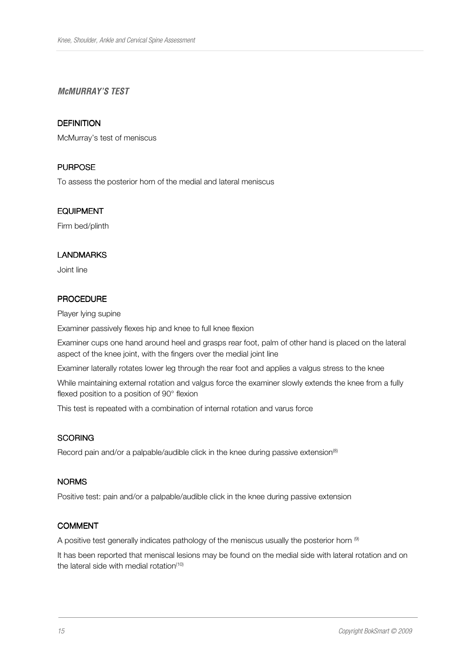## **McMURRAY'S TEST**

#### **DEFINITION**

McMurray's test of meniscus

#### **PURPOSE**

To assess the posterior horn of the medial and lateral meniscus

#### EQUIPMENT

Firm bed/plinth

#### LANDMARKS

Joint line

#### PROCEDURE

Player lying supine

Examiner passively flexes hip and knee to full knee flexion

Examiner cups one hand around heel and grasps rear foot, palm of other hand is placed on the lateral aspect of the knee joint, with the fingers over the medial joint line

Examiner laterally rotates lower leg through the rear foot and applies a valgus stress to the knee

While maintaining external rotation and valgus force the examiner slowly extends the knee from a fully flexed position to a position of 90° flexion

This test is repeated with a combination of internal rotation and varus force

#### **SCORING**

Record pain and/or a palpable/audible click in the knee during passive extension<sup>(8)</sup>

#### NORMS

Positive test: pain and/or a palpable/audible click in the knee during passive extension

#### **COMMENT**

A positive test generally indicates pathology of the meniscus usually the posterior horn  $^{\circledcirc}$ 

It has been reported that meniscal lesions may be found on the medial side with lateral rotation and on the lateral side with medial rotation $(10)$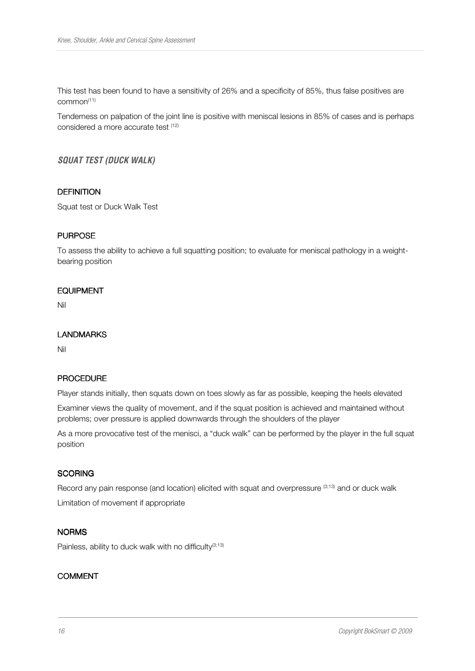This test has been found to have a sensitivity of 26% and a specificity of 85%, thus false positives are common(11)

Tenderness on palpation of the joint line is positive with meniscal lesions in 85% of cases and is perhaps considered a more accurate test (12)

**SQUAT TEST (DUCK WALK)** 

#### **DEFINITION**

Squat test or Duck Walk Test

## **PURPOSE**

To assess the ability to achieve a full squatting position; to evaluate for meniscal pathology in a weightbearing position

#### EQUIPMENT

Nil

#### LANDMARKS

Nil

#### **PROCEDURE**

Player stands initially, then squats down on toes slowly as far as possible, keeping the heels elevated

Examiner views the quality of movement, and if the squat position is achieved and maintained without problems; over pressure is applied downwards through the shoulders of the player

As a more provocative test of the menisci, a "duck walk" can be performed by the player in the full squat position

#### **SCORING**

Record any pain response (and location) elicited with squat and overpressure (3;13) and or duck walk

Limitation of movement if appropriate

#### **NORMS**

Painless, ability to duck walk with no difficulty $(3,13)$ 

## COMMENT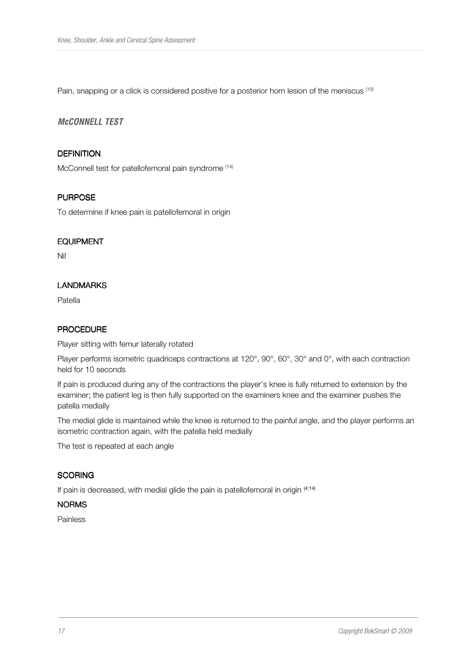Pain, snapping or a click is considered positive for a posterior horn lesion of the meniscus <sup>(13)</sup>

## **McCONNELL TEST**

## **DEFINITION**

McConnell test for patellofemoral pain syndrome (14)

## **PURPOSE**

To determine if knee pain is patellofemoral in origin

#### EQUIPMENT

Nil

## LANDMARKS

Patella

## PROCEDURE

Player sitting with femur laterally rotated

Player performs isometric quadriceps contractions at 120°, 90°, 60°, 30° and 0°, with each contraction held for 10 seconds

If pain is produced during any of the contractions the player's knee is fully returned to extension by the examiner; the patient leg is then fully supported on the examiners knee and the examiner pushes the patella medially

The medial glide is maintained while the knee is returned to the painful angle, and the player performs an isometric contraction again, with the patella held medially

The test is repeated at each angle

#### **SCORING**

If pain is decreased, with medial glide the pain is patellofemoral in origin (4;14)

#### NORMS

Painless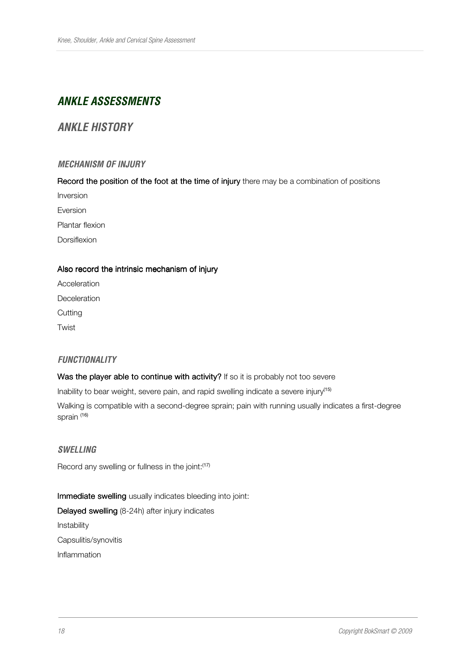# **ANKLE ASSESSMENTS**

# **ANKLE HISTORY**

## **MECHANISM OF INJURY**

Record the position of the foot at the time of injury there may be a combination of positions

Inversion

Eversion

Plantar flexion

Dorsiflexion

## Also record the intrinsic mechanism of injury

Acceleration Deceleration **Cutting** Twist

## **FUNCTIONALITY**

#### Was the player able to continue with activity? If so it is probably not too severe

Inability to bear weight, severe pain, and rapid swelling indicate a severe injury<sup>(15)</sup>

Walking is compatible with a second-degree sprain; pain with running usually indicates a first-degree sprain <sup>(16)</sup>

#### **SWELLING**

Record any swelling or fullness in the joint:<sup>(17)</sup>

Immediate swelling usually indicates bleeding into joint:

Delayed swelling (8-24h) after injury indicates Instability Capsulitis/synovitis Inflammation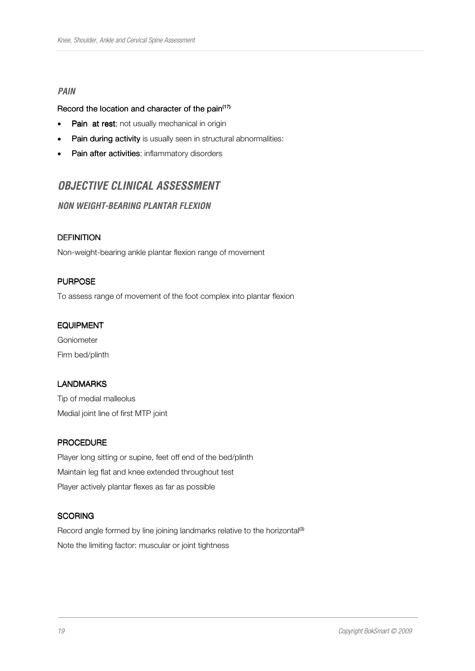#### **PAIN**

#### Record the location and character of the pain<sup>(17)</sup>

- Pain at rest; not usually mechanical in origin
- Pain during activity is usually seen in structural abnormalities:
- Pain after activities: inflammatory disorders

# **OBJECTIVE CLINICAL ASSESSMENT**

## **NON WEIGHT-BEARING PLANTAR FLEXION**

## **DEFINITION**

Non-weight-bearing ankle plantar flexion range of movement

#### **PURPOSE**

To assess range of movement of the foot complex into plantar flexion

#### EQUIPMENT

Goniometer Firm bed/plinth

#### LANDMARKS

Tip of medial malleolus Medial joint line of first MTP joint

#### **PROCEDURE**

Player long sitting or supine, feet off end of the bed/plinth Maintain leg flat and knee extended throughout test Player actively plantar flexes as far as possible

#### **SCORING**

Record angle formed by line joining landmarks relative to the horizontal<sup>(3)</sup> Note the limiting factor: muscular or joint tightness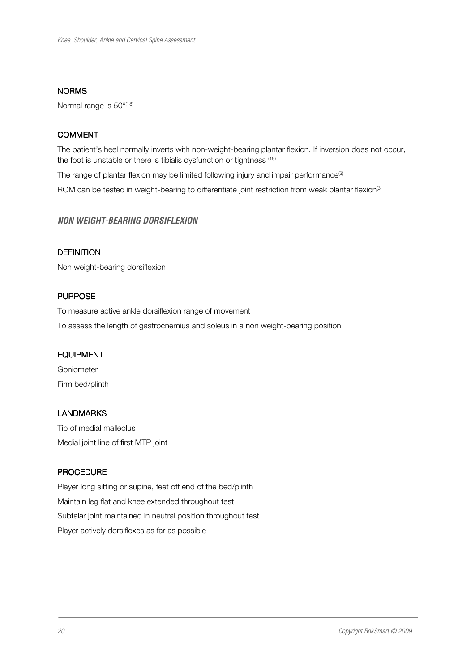#### NORMS

Normal range is 50°<sup>(18)</sup>

## COMMENT

The patient's heel normally inverts with non-weight-bearing plantar flexion. If inversion does not occur, the foot is unstable or there is tibialis dysfunction or tightness (19)

The range of plantar flexion may be limited following injury and impair performance<sup>(3)</sup> ROM can be tested in weight-bearing to differentiate joint restriction from weak plantar flexion<sup>(3)</sup>

#### **NON WEIGHT-BEARING DORSIFLEXION**

## **DEFINITION**

Non weight-bearing dorsiflexion

#### **PURPOSE**

To measure active ankle dorsiflexion range of movement To assess the length of gastrocnemius and soleus in a non weight-bearing position

#### EQUIPMENT

Goniometer Firm bed/plinth

#### LANDMARKS

Tip of medial malleolus Medial joint line of first MTP joint

#### **PROCEDURE**

Player long sitting or supine, feet off end of the bed/plinth Maintain leg flat and knee extended throughout test Subtalar joint maintained in neutral position throughout test Player actively dorsiflexes as far as possible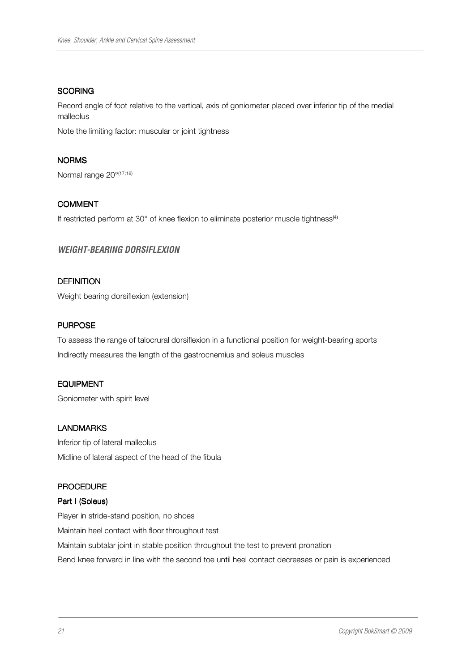#### **SCORING**

Record angle of foot relative to the vertical, axis of goniometer placed over inferior tip of the medial malleolus

Note the limiting factor: muscular or joint tightness

#### NORMS

Normal range 20°(17;18)

## COMMENT

If restricted perform at 30° of knee flexion to eliminate posterior muscle tightness<sup>(4)</sup>

## **WEIGHT-BEARING DORSIFLEXION**

## **DEFINITION**

Weight bearing dorsiflexion (extension)

## **PURPOSE**

To assess the range of talocrural dorsiflexion in a functional position for weight-bearing sports Indirectly measures the length of the gastrocnemius and soleus muscles

#### EQUIPMENT

Goniometer with spirit level

#### LANDMARKS

Inferior tip of lateral malleolus Midline of lateral aspect of the head of the fibula

#### **PROCEDURE**

## Part I (Soleus)

Player in stride-stand position, no shoes Maintain heel contact with floor throughout test Maintain subtalar joint in stable position throughout the test to prevent pronation Bend knee forward in line with the second toe until heel contact decreases or pain is experienced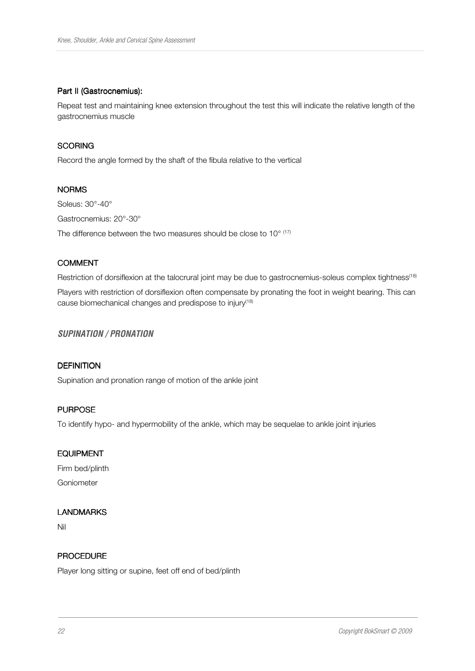#### Part II (Gastrocnemius):

Repeat test and maintaining knee extension throughout the test this will indicate the relative length of the gastrocnemius muscle

## **SCORING**

Record the angle formed by the shaft of the fibula relative to the vertical

## NORMS

Soleus: 30°-40° Gastrocnemius: 20°-30° The difference between the two measures should be close to  $10^{\circ}$   $^{(17)}$ 

## COMMENT

Restriction of dorsiflexion at the talocrural joint may be due to gastrocnemius-soleus complex tightness<sup>(18)</sup>

Players with restriction of dorsiflexion often compensate by pronating the foot in weight bearing. This can cause biomechanical changes and predispose to injury<sup>(18)</sup>

## **SUPINATION / PRONATION**

#### **DEFINITION**

Supination and pronation range of motion of the ankle joint

## **PURPOSE**

To identify hypo- and hypermobility of the ankle, which may be sequelae to ankle joint injuries

#### EQUIPMENT

Firm bed/plinth Goniometer

## LANDMARKS

Nil

## **PROCEDURE**

Player long sitting or supine, feet off end of bed/plinth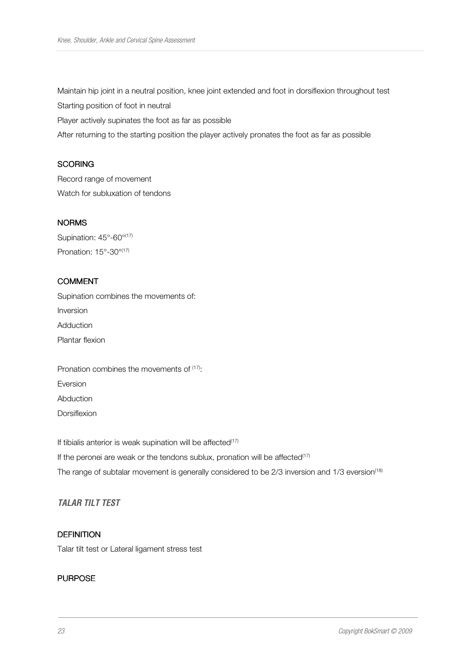Maintain hip joint in a neutral position, knee joint extended and foot in dorsiflexion throughout test

Starting position of foot in neutral

Player actively supinates the foot as far as possible

After returning to the starting position the player actively pronates the foot as far as possible

#### **SCORING**

Record range of movement Watch for subluxation of tendons

## NORMS

Supination: 45°-60°(17) Pronation: 15°-30°(17)

## COMMENT

Supination combines the movements of: Inversion Adduction Plantar flexion

Pronation combines the movements of  $(17)$ : Eversion Abduction **Dorsiflexion** 

If tibialis anterior is weak supination will be affected $(17)$ If the peronei are weak or the tendons sublux, pronation will be affected $(17)$ The range of subtalar movement is generally considered to be 2/3 inversion and 1/3 eversion<sup>(18)</sup>

## **TALAR TILT TEST**

# **DEFINITION**

Talar tilt test or Lateral ligament stress test

## **PURPOSE**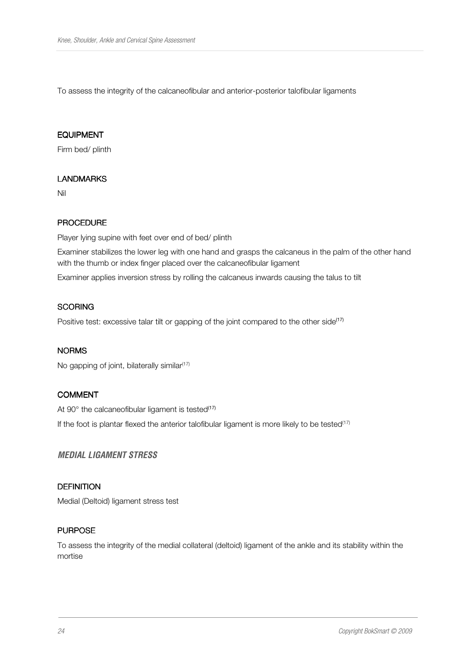To assess the integrity of the calcaneofibular and anterior-posterior talofibular ligaments

#### EQUIPMENT

Firm bed/ plinth

#### LANDMARKS

Nil

## **PROCEDURE**

Player lying supine with feet over end of bed/ plinth

Examiner stabilizes the lower leg with one hand and grasps the calcaneus in the palm of the other hand with the thumb or index finger placed over the calcaneofibular ligament

Examiner applies inversion stress by rolling the calcaneus inwards causing the talus to tilt

## **SCORING**

Positive test: excessive talar tilt or gapping of the joint compared to the other side<sup>(17)</sup>

#### NORMS

No gapping of joint, bilaterally similar $(17)$ 

#### COMMENT

At 90 $^{\circ}$  the calcaneofibular ligament is tested<sup>(17)</sup>

If the foot is plantar flexed the anterior talofibular ligament is more likely to be tested<sup>(17)</sup>

#### **MEDIAL LIGAMENT STRESS**

## **DEFINITION**

Medial (Deltoid) ligament stress test

#### **PURPOSE**

To assess the integrity of the medial collateral (deltoid) ligament of the ankle and its stability within the mortise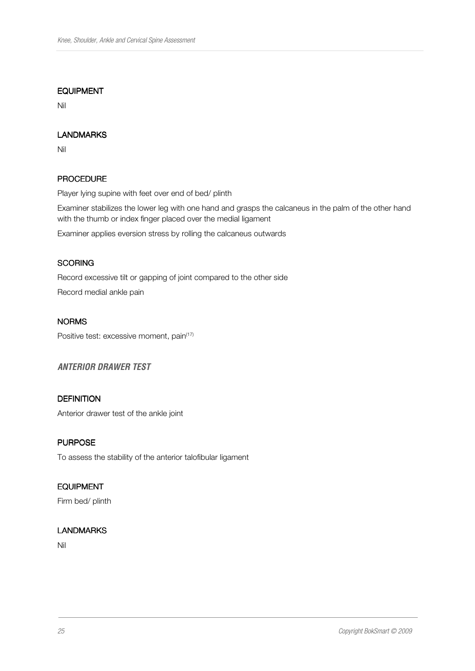#### EQUIPMENT

Nil

## LANDMARKS

Nil

## PROCEDURE

Player lying supine with feet over end of bed/ plinth

Examiner stabilizes the lower leg with one hand and grasps the calcaneus in the palm of the other hand with the thumb or index finger placed over the medial ligament

Examiner applies eversion stress by rolling the calcaneus outwards

#### **SCORING**

Record excessive tilt or gapping of joint compared to the other side

Record medial ankle pain

## NORMS

Positive test: excessive moment, pain<sup>(17)</sup>

## **ANTERIOR DRAWER TEST**

## **DEFINITION**

Anterior drawer test of the ankle joint

## **PURPOSE**

To assess the stability of the anterior talofibular ligament

## **EQUIPMENT**

Firm bed/ plinth

#### **LANDMARKS**

Nil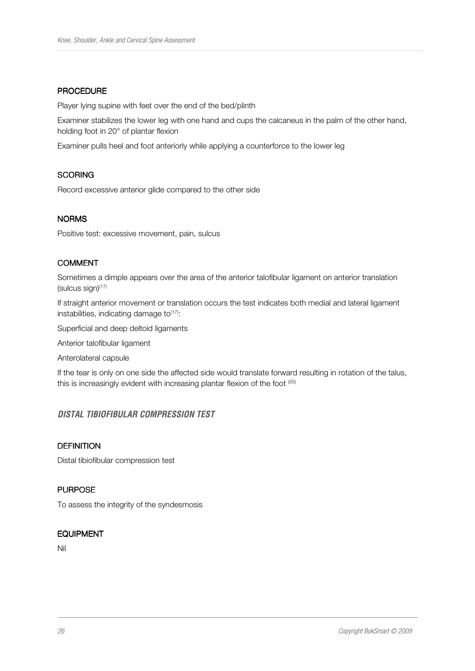#### **PROCEDURE**

Player lying supine with feet over the end of the bed/plinth

Examiner stabilizes the lower leg with one hand and cups the calcaneus in the palm of the other hand, holding foot in 20° of plantar flexion

Examiner pulls heel and foot anteriorly while applying a counterforce to the lower leg

#### **SCORING**

Record excessive anterior glide compared to the other side

#### **NORMS**

Positive test: excessive movement, pain, sulcus

## COMMENT

Sometimes a dimple appears over the area of the anterior talofibular ligament on anterior translation (sulcus sign) $(17)$ 

If straight anterior movement or translation occurs the test indicates both medial and lateral ligament instabilities, indicating damage to $(17)$ :

Superficial and deep deltoid ligaments

Anterior talofibular ligament

Anterolateral capsule

If the tear is only on one side the affected side would translate forward resulting in rotation of the talus, this is increasingly evident with increasing plantar flexion of the foot  $(20)$ 

## **DISTAL TIBIOFIBULAR COMPRESSION TEST**

#### **DEFINITION**

Distal tibiofibular compression test

## **PURPOSE**

To assess the integrity of the syndesmosis

#### EQUIPMENT

Nil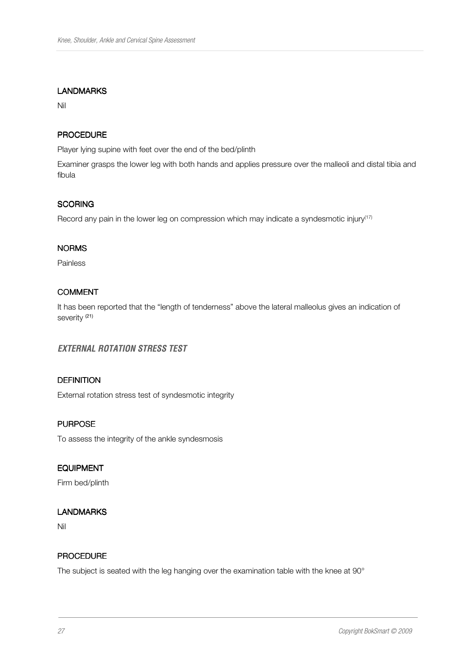#### LANDMARKS

Nil

## PROCEDURE

Player lying supine with feet over the end of the bed/plinth

Examiner grasps the lower leg with both hands and applies pressure over the malleoli and distal tibia and fibula

#### **SCORING**

Record any pain in the lower leg on compression which may indicate a syndesmotic injury<sup>(17)</sup>

#### NORMS

Painless

## **COMMENT**

It has been reported that the "length of tenderness" above the lateral malleolus gives an indication of severity<sup>(21)</sup>

## **EXTERNAL ROTATION STRESS TEST**

## **DEFINITION**

External rotation stress test of syndesmotic integrity

#### **PURPOSE**

To assess the integrity of the ankle syndesmosis

#### EQUIPMENT

Firm bed/plinth

#### LANDMARKS

Nil

## **PROCEDURE**

The subject is seated with the leg hanging over the examination table with the knee at 90°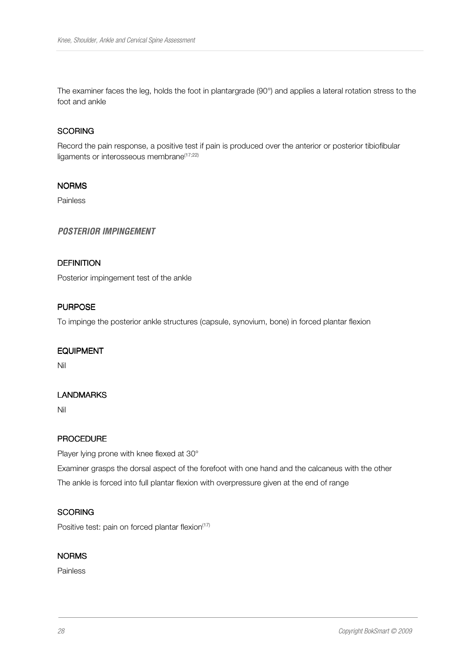The examiner faces the leg, holds the foot in plantargrade (90°) and applies a lateral rotation stress to the foot and ankle

#### **SCORING**

Record the pain response, a positive test if pain is produced over the anterior or posterior tibiofibular ligaments or interosseous membrane<sup>(17;22)</sup>

#### NORMS

Painless

#### **POSTERIOR IMPINGEMENT**

#### **DEFINITION**

Posterior impingement test of the ankle

#### **PURPOSE**

To impinge the posterior ankle structures (capsule, synovium, bone) in forced plantar flexion

#### EQUIPMENT

Nil

#### LANDMARKS

Nil

#### **PROCEDURE**

Player lying prone with knee flexed at 30°

Examiner grasps the dorsal aspect of the forefoot with one hand and the calcaneus with the other The ankle is forced into full plantar flexion with overpressure given at the end of range

#### **SCORING**

Positive test: pain on forced plantar flexion $(17)$ 

#### NORMS

Painless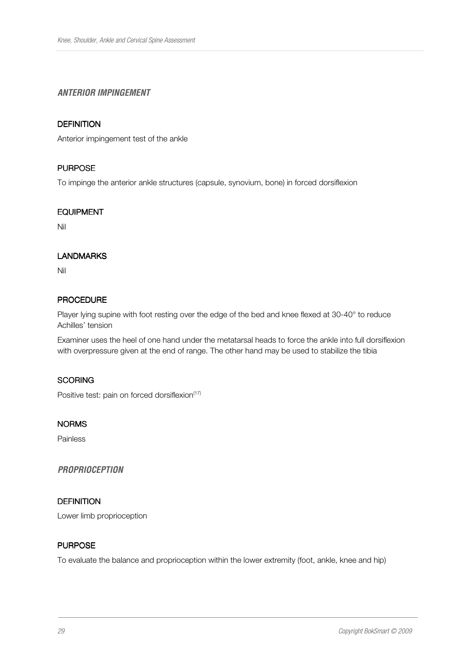## **ANTERIOR IMPINGEMENT**

## **DEFINITION**

Anterior impingement test of the ankle

#### **PURPOSE**

To impinge the anterior ankle structures (capsule, synovium, bone) in forced dorsiflexion

#### EQUIPMENT

Nil

## LANDMARKS

Nil

## **PROCEDURE**

Player lying supine with foot resting over the edge of the bed and knee flexed at 30-40° to reduce Achilles' tension

Examiner uses the heel of one hand under the metatarsal heads to force the ankle into full dorsiflexion with overpressure given at the end of range. The other hand may be used to stabilize the tibia

#### **SCORING**

Positive test: pain on forced dorsiflexion<sup>(17)</sup>

#### NORMS

Painless

#### **PROPRIOCEPTION**

#### **DEFINITION**

Lower limb proprioception

#### **PURPOSE**

To evaluate the balance and proprioception within the lower extremity (foot, ankle, knee and hip)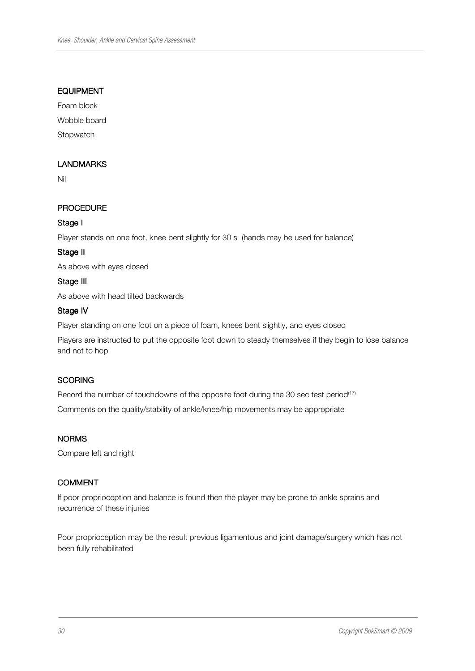#### EQUIPMENT

Foam block Wobble board

**Stopwatch** 

## LANDMARKS

Nil

## PROCEDURE

## Stage I

Player stands on one foot, knee bent slightly for 30 s (hands may be used for balance)

#### Stage II

As above with eyes closed

#### Stage III

As above with head tilted backwards

## Stage IV

Player standing on one foot on a piece of foam, knees bent slightly, and eyes closed

Players are instructed to put the opposite foot down to steady themselves if they begin to lose balance and not to hop

#### **SCORING**

Record the number of touchdowns of the opposite foot during the 30 sec test period<sup>(17)</sup>

Comments on the quality/stability of ankle/knee/hip movements may be appropriate

#### NORMS

Compare left and right

#### **COMMENT**

If poor proprioception and balance is found then the player may be prone to ankle sprains and recurrence of these injuries

Poor proprioception may be the result previous ligamentous and joint damage/surgery which has not been fully rehabilitated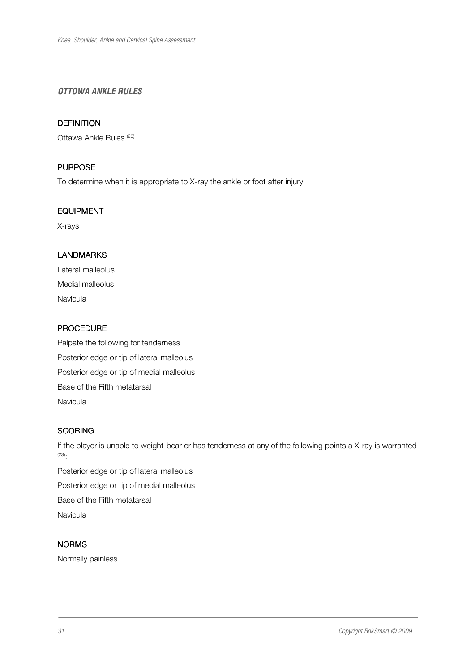## **OTTOWA ANKLE RULES**

#### **DEFINITION**

Ottawa Ankle Rules<sup>(23)</sup>

## **PURPOSE**

To determine when it is appropriate to X-ray the ankle or foot after injury

#### EQUIPMENT

X-rays

## LANDMARKS

Lateral malleolus Medial malleolus Navicula

## PROCEDURE

Palpate the following for tenderness Posterior edge or tip of lateral malleolus Posterior edge or tip of medial malleolus Base of the Fifth metatarsal Navicula

#### **SCORING**

If the player is unable to weight-bear or has tenderness at any of the following points a X-ray is warranted (23):

Posterior edge or tip of lateral malleolus Posterior edge or tip of medial malleolus Base of the Fifth metatarsal Navicula

## NORMS

Normally painless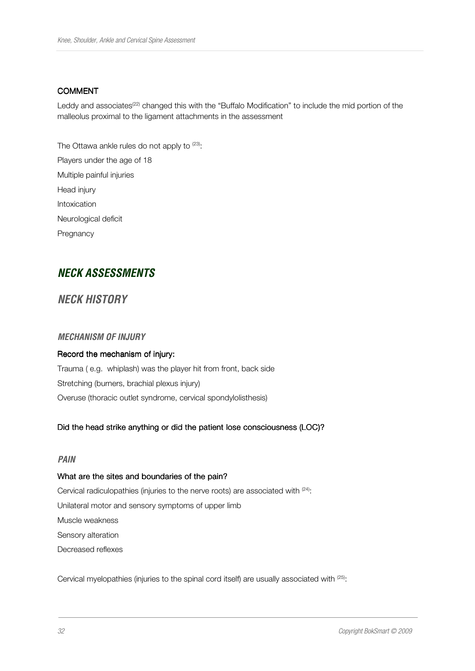#### COMMENT

Leddy and associates<sup>(22)</sup> changed this with the "Buffalo Modification" to include the mid portion of the malleolus proximal to the ligament attachments in the assessment

The Ottawa ankle rules do not apply to (23): Players under the age of 18 Multiple painful injuries Head injury Intoxication Neurological deficit Pregnancy

# **NECK ASSESSMENTS**

## **NECK HISTORY**

#### **MECHANISM OF INJURY**

#### Record the mechanism of injury:

Trauma ( e.g. whiplash) was the player hit from front, back side Stretching (burners, brachial plexus injury) Overuse (thoracic outlet syndrome, cervical spondylolisthesis)

#### Did the head strike anything or did the patient lose consciousness (LOC)?

#### **PAIN**

#### What are the sites and boundaries of the pain?

Cervical radiculopathies (injuries to the nerve roots) are associated with <sup>(24)</sup>: Unilateral motor and sensory symptoms of upper limb Muscle weakness Sensory alteration Decreased reflexes

Cervical myelopathies (injuries to the spinal cord itself) are usually associated with <sup>(25)</sup>: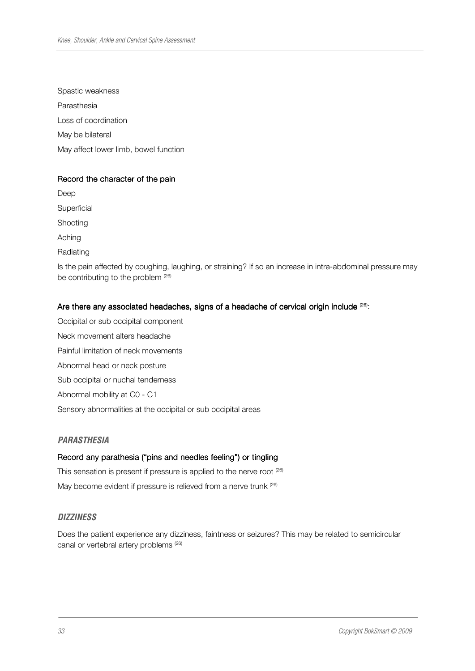Spastic weakness Parasthesia Loss of coordination May be bilateral May affect lower limb, bowel function

#### Record the character of the pain

Deep **Superficial** Shooting Aching **Radiating** Is the pain affected by coughing, laughing, or straining? If so an increase in intra-abdominal pressure may be contributing to the problem (26)

## Are there any associated headaches, signs of a headache of cervical origin include (26):

Occipital or sub occipital component Neck movement alters headache Painful limitation of neck movements Abnormal head or neck posture Sub occipital or nuchal tenderness Abnormal mobility at C0 - C1 Sensory abnormalities at the occipital or sub occipital areas

#### **PARASTHESIA**

#### Record any parathesia ("pins and needles feeling") or tingling

This sensation is present if pressure is applied to the nerve root  $(26)$ 

# May become evident if pressure is relieved from a nerve trunk  $(26)$

#### **DIZZINESS**

Does the patient experience any dizziness, faintness or seizures? This may be related to semicircular canal or vertebral artery problems<sup>(26)</sup>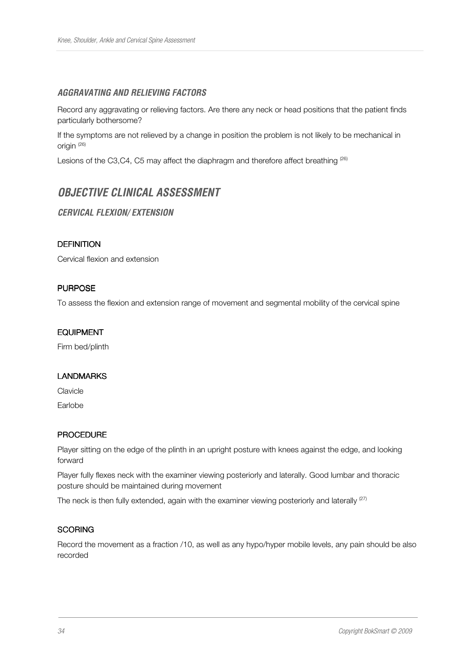## **AGGRAVATING AND RELIEVING FACTORS**

Record any aggravating or relieving factors. Are there any neck or head positions that the patient finds particularly bothersome?

If the symptoms are not relieved by a change in position the problem is not likely to be mechanical in origin <sup>(26)</sup>

Lesions of the C3,C4, C5 may affect the diaphragm and therefore affect breathing  $^{(26)}$ 

# **OBJECTIVE CLINICAL ASSESSMENT**

## **CERVICAL FLEXION/ EXTENSION**

#### **DEFINITION**

Cervical flexion and extension

## **PURPOSE**

To assess the flexion and extension range of movement and segmental mobility of the cervical spine

#### EQUIPMENT

Firm bed/plinth

#### LANDMARKS

Clavicle

Earlobe

#### **PROCEDURE**

Player sitting on the edge of the plinth in an upright posture with knees against the edge, and looking forward

Player fully flexes neck with the examiner viewing posteriorly and laterally. Good lumbar and thoracic posture should be maintained during movement

The neck is then fully extended, again with the examiner viewing posteriorly and laterally  $^{(27)}$ 

## **SCORING**

Record the movement as a fraction /10, as well as any hypo/hyper mobile levels, any pain should be also recorded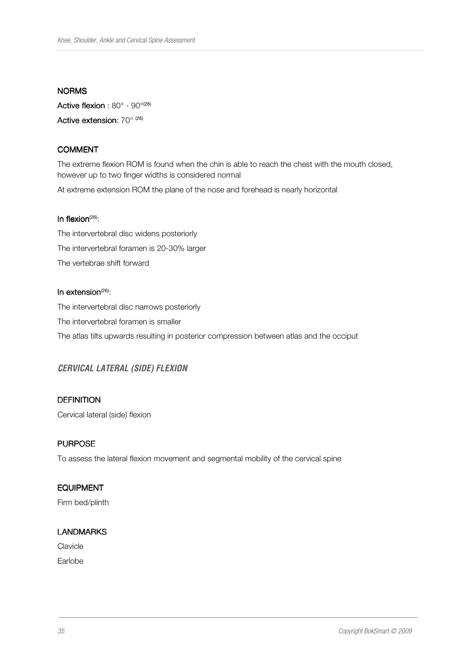#### NORMS

Active flexion :  $80^{\circ}$  -  $90^{\circ(26)}$ Active extension:  $70^{\circ}$   $^{(26)}$ 

## COMMENT

The extreme flexion ROM is found when the chin is able to reach the chest with the mouth closed, however up to two finger widths is considered normal

At extreme extension ROM the plane of the nose and forehead is nearly horizontal

#### In flexion $(26)$ :

The intervertebral disc widens posteriorly The intervertebral foramen is 20-30% larger The vertebrae shift forward

## In extension $(26)$ :

The intervertebral disc narrows posteriorly The intervertebral foramen is smaller The atlas tilts upwards resulting in posterior compression between atlas and the occiput

## **CERVICAL LATERAL (SIDE) FLEXION**

## **DEFINITION**

Cervical lateral (side) flexion

## **PURPOSE**

To assess the lateral flexion movement and segmental mobility of the cervical spine

#### EQUIPMENT

Firm bed/plinth

#### LANDMARKS

Clavicle

Earlobe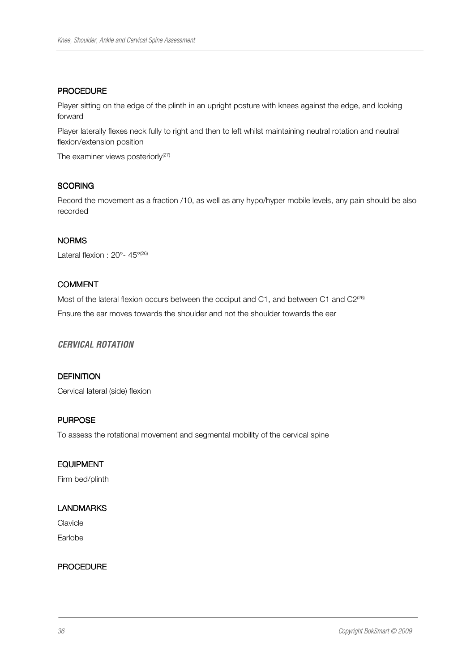#### PROCEDURE

Player sitting on the edge of the plinth in an upright posture with knees against the edge, and looking forward

Player laterally flexes neck fully to right and then to left whilst maintaining neutral rotation and neutral flexion/extension position

The examiner views posteriorly<sup>(27)</sup>

## **SCORING**

Record the movement as a fraction /10, as well as any hypo/hyper mobile levels, any pain should be also recorded

## **NORMS**

Lateral flexion : 20°- 45°<sup>(26)</sup>

## COMMENT

Most of the lateral flexion occurs between the occiput and C1, and between C1 and C2<sup>(26)</sup> Ensure the ear moves towards the shoulder and not the shoulder towards the ear

#### **CERVICAL ROTATION**

#### **DEFINITION**

Cervical lateral (side) flexion

# **PURPOSE**

To assess the rotational movement and segmental mobility of the cervical spine

#### **EQUIPMENT**

Firm bed/plinth

#### LANDMARKS

**Clavicle** Earlobe

#### PROCEDURE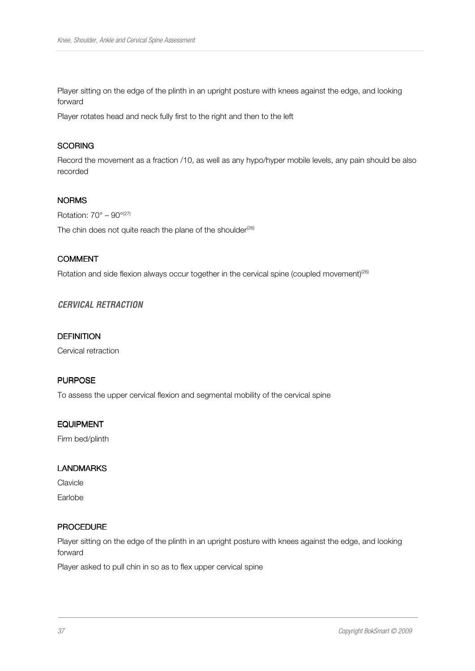Player sitting on the edge of the plinth in an upright posture with knees against the edge, and looking forward

Player rotates head and neck fully first to the right and then to the left

# **SCORING**

Record the movement as a fraction /10, as well as any hypo/hyper mobile levels, any pain should be also recorded

#### **NORMS**

Rotation:  $70^\circ - 90^{\circ(27)}$ 

The chin does not quite reach the plane of the shoulder<sup> $(26)$ </sup>

# COMMENT

Rotation and side flexion always occur together in the cervical spine (coupled movement)<sup>(26)</sup>

## **CERVICAL RETRACTION**

#### **DEFINITION**

Cervical retraction

## **PURPOSE**

To assess the upper cervical flexion and segmental mobility of the cervical spine

#### EQUIPMENT

Firm bed/plinth

#### LANDMARKS

**Clavicle** Earlobe

#### PROCEDURE

Player sitting on the edge of the plinth in an upright posture with knees against the edge, and looking forward

Player asked to pull chin in so as to flex upper cervical spine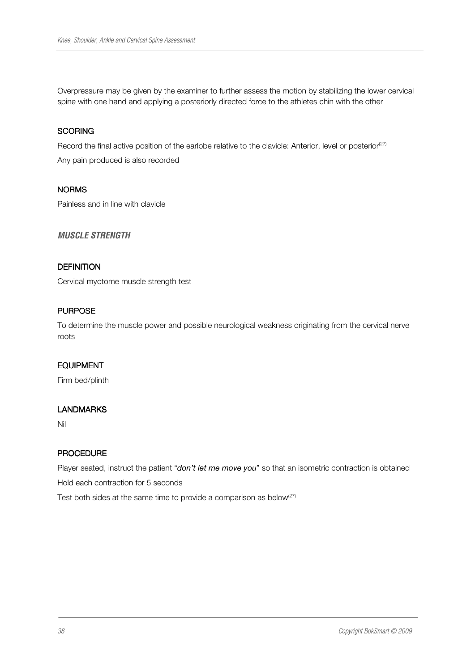Overpressure may be given by the examiner to further assess the motion by stabilizing the lower cervical spine with one hand and applying a posteriorly directed force to the athletes chin with the other

#### **SCORING**

Record the final active position of the earlobe relative to the clavicle: Anterior, level or posterior<sup>(27)</sup>

Any pain produced is also recorded

#### NORMS

Painless and in line with clavicle

## **MUSCLE STRENGTH**

## **DEFINITION**

Cervical myotome muscle strength test

#### **PURPOSE**

To determine the muscle power and possible neurological weakness originating from the cervical nerve roots

## **EQUIPMENT**

Firm bed/plinth

#### LANDMARKS

Nil

## PROCEDURE

Player seated, instruct the patient "don't let me move you" so that an isometric contraction is obtained

Hold each contraction for 5 seconds

Test both sides at the same time to provide a comparison as below ${}^{(27)}$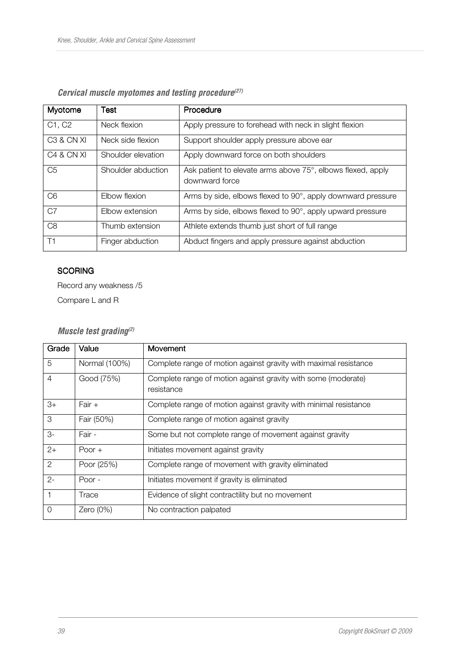| Myotome                           | Test               | Procedure                                                                     |  |  |
|-----------------------------------|--------------------|-------------------------------------------------------------------------------|--|--|
| C1, C2                            | Neck flexion       | Apply pressure to forehead with neck in slight flexion                        |  |  |
| C <sub>3</sub> & CN XI            | Neck side flexion  | Support shoulder apply pressure above ear                                     |  |  |
| C <sub>4</sub> & CN <sub>XI</sub> | Shoulder elevation | Apply downward force on both shoulders                                        |  |  |
| C <sub>5</sub>                    | Shoulder abduction | Ask patient to elevate arms above 75°, elbows flexed, apply<br>downward force |  |  |
| C <sub>6</sub>                    | Flbow flexion      | Arms by side, elbows flexed to 90°, apply downward pressure                   |  |  |
| C7                                | Elbow extension    | Arms by side, elbows flexed to 90°, apply upward pressure                     |  |  |
| C <sub>8</sub>                    | Thumb extension    | Athlete extends thumb just short of full range                                |  |  |
| T1                                | Finger abduction   | Abduct fingers and apply pressure against abduction                           |  |  |

# **Cervical muscle myotomes and testing procedure(27)**

# **SCORING**

Record any weakness /5

Compare L and R

# **Muscle test grading(2)**

| Grade          | Value         | Movement                                                                    |
|----------------|---------------|-----------------------------------------------------------------------------|
| 5              | Normal (100%) | Complete range of motion against gravity with maximal resistance            |
| $\overline{4}$ | Good (75%)    | Complete range of motion against gravity with some (moderate)<br>resistance |
| $3+$           | $Fair +$      | Complete range of motion against gravity with minimal resistance            |
| 3              | Fair (50%)    | Complete range of motion against gravity                                    |
| 3-             | Fair -        | Some but not complete range of movement against gravity                     |
| $2+$           | Poor $+$      | Initiates movement against gravity                                          |
| $\overline{2}$ | Poor (25%)    | Complete range of movement with gravity eliminated                          |
| $2 -$          | Poor -        | Initiates movement if gravity is eliminated                                 |
|                | Trace         | Evidence of slight contractility but no movement                            |
| $\overline{0}$ | Zero $(0\%)$  | No contraction palpated                                                     |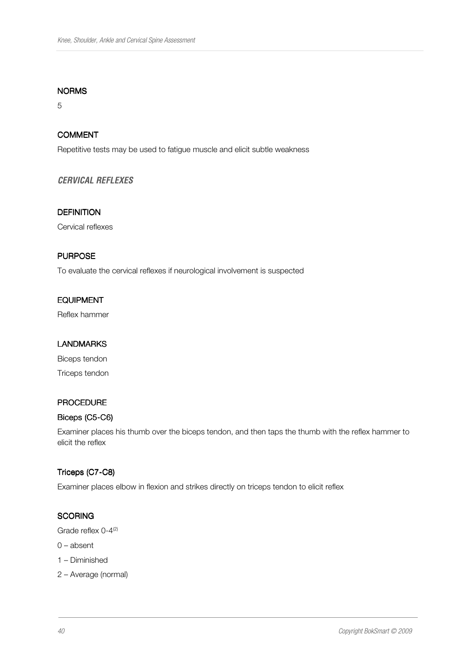#### NORMS

5

# COMMENT

Repetitive tests may be used to fatigue muscle and elicit subtle weakness

## **CERVICAL REFLEXES**

#### **DEFINITION**

Cervical reflexes

# **PURPOSE**

To evaluate the cervical reflexes if neurological involvement is suspected

#### **EQUIPMENT**

Reflex hammer

## LANDMARKS

Biceps tendon Triceps tendon

#### PROCEDURE

# Biceps (C5-C6)

Examiner places his thumb over the biceps tendon, and then taps the thumb with the reflex hammer to elicit the reflex

#### Triceps (C7-C8)

Examiner places elbow in flexion and strikes directly on triceps tendon to elicit reflex

## **SCORING**

Grade reflex 0-4<sup>(2)</sup>

- 0 absent
- 1 Diminished
- 2 Average (normal)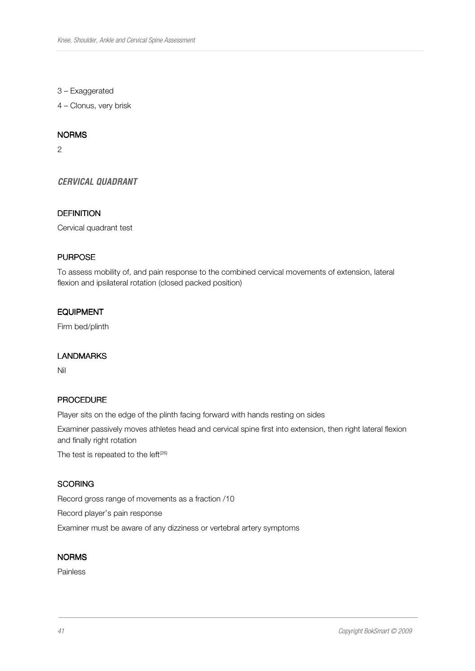3 – Exaggerated

4 – Clonus, very brisk

#### NORMS

2

**CERVICAL QUADRANT** 

#### **DEFINITION**

Cervical quadrant test

## **PURPOSE**

To assess mobility of, and pain response to the combined cervical movements of extension, lateral flexion and ipsilateral rotation (closed packed position)

# **EQUIPMENT**

Firm bed/plinth

#### **LANDMARKS**

Nil

## **PROCEDURE**

Player sits on the edge of the plinth facing forward with hands resting on sides

Examiner passively moves athletes head and cervical spine first into extension, then right lateral flexion and finally right rotation

The test is repeated to the left $(26)$ 

## **SCORING**

Record gross range of movements as a fraction /10

Record player's pain response

Examiner must be aware of any dizziness or vertebral artery symptoms

#### **NORMS**

Painless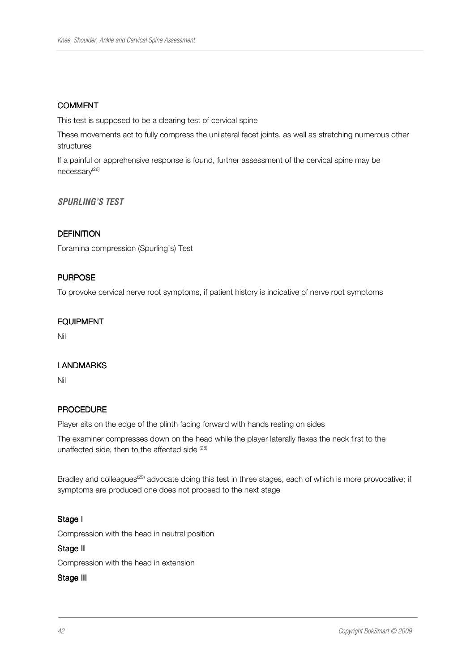# **COMMENT**

This test is supposed to be a clearing test of cervical spine

These movements act to fully compress the unilateral facet joints, as well as stretching numerous other structures

If a painful or apprehensive response is found, further assessment of the cervical spine may be necessary<sup>(26)</sup>

**SPURLING'S TEST** 

## **DEFINITION**

Foramina compression (Spurling's) Test

## **PURPOSE**

To provoke cervical nerve root symptoms, if patient history is indicative of nerve root symptoms

#### **EQUIPMENT**

Nil

#### **LANDMARKS**

Nil

#### **PROCEDURE**

Player sits on the edge of the plinth facing forward with hands resting on sides

The examiner compresses down on the head while the player laterally flexes the neck first to the unaffected side, then to the affected side (28)

Bradley and colleagues<sup>(29)</sup> advocate doing this test in three stages, each of which is more provocative; if symptoms are produced one does not proceed to the next stage

#### Stage I

Compression with the head in neutral position

#### Stage II

Compression with the head in extension

#### Stage III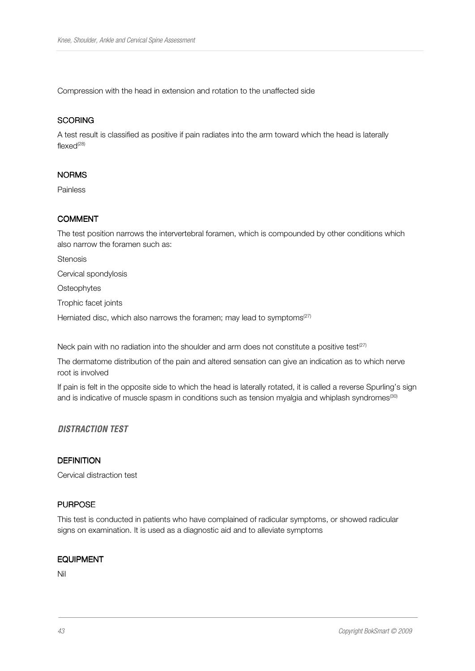Compression with the head in extension and rotation to the unaffected side

## **SCORING**

A test result is classified as positive if pain radiates into the arm toward which the head is laterally flexed<sup>(28)</sup>

## **NORMS**

Painless

# COMMENT

The test position narrows the intervertebral foramen, which is compounded by other conditions which also narrow the foramen such as:

**Stenosis** 

Cervical spondylosis

**Osteophytes** 

Trophic facet joints

Herniated disc, which also narrows the foramen; may lead to symptoms $(27)$ 

Neck pain with no radiation into the shoulder and arm does not constitute a positive test<sup>(27)</sup>

The dermatome distribution of the pain and altered sensation can give an indication as to which nerve root is involved

If pain is felt in the opposite side to which the head is laterally rotated, it is called a reverse Spurling's sign and is indicative of muscle spasm in conditions such as tension myalgia and whiplash syndromes<sup>(30)</sup>

## **DISTRACTION TEST**

#### **DEFINITION**

Cervical distraction test

## **PURPOSE**

This test is conducted in patients who have complained of radicular symptoms, or showed radicular signs on examination. It is used as a diagnostic aid and to alleviate symptoms

#### EQUIPMENT

Nil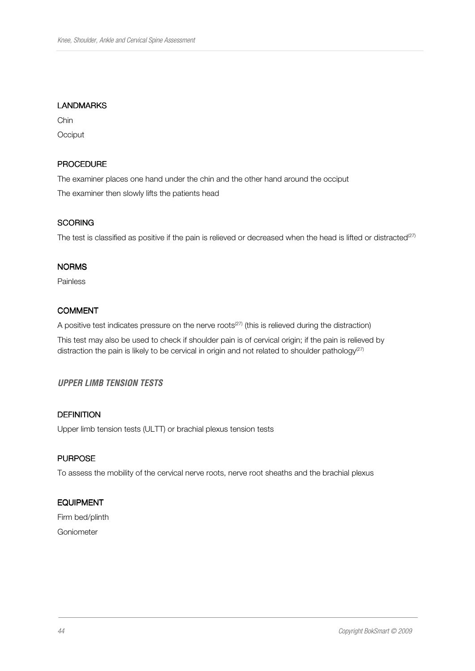# LANDMARKS

Chin **Occiput** 

#### PROCEDURE

The examiner places one hand under the chin and the other hand around the occiput The examiner then slowly lifts the patients head

## **SCORING**

The test is classified as positive if the pain is relieved or decreased when the head is lifted or distracted $^{(27)}$ 

#### NORMS

Painless

## COMMENT

A positive test indicates pressure on the nerve roots<sup> $(27)$ </sup> (this is relieved during the distraction)

This test may also be used to check if shoulder pain is of cervical origin; if the pain is relieved by distraction the pain is likely to be cervical in origin and not related to shoulder pathology<sup>(27)</sup>

# **UPPER LIMB TENSION TESTS**

# **DEFINITION**

Upper limb tension tests (ULTT) or brachial plexus tension tests

# **PURPOSE**

To assess the mobility of the cervical nerve roots, nerve root sheaths and the brachial plexus

# **EQUIPMENT**

Firm bed/plinth Goniometer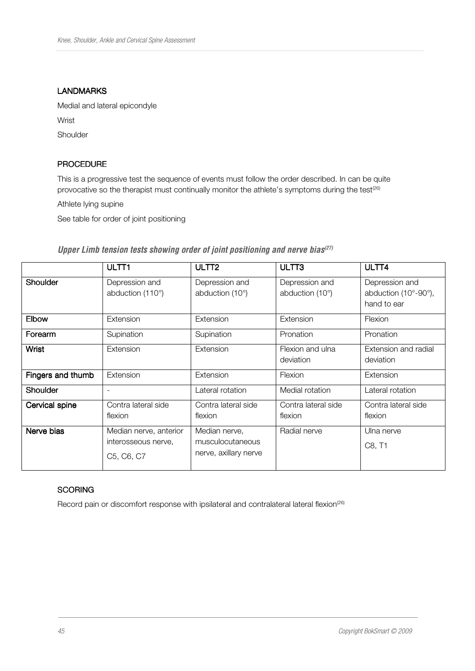#### LANDMARKS

Medial and lateral epicondyle

**Wrist** 

Shoulder

## PROCEDURE

This is a progressive test the sequence of events must follow the order described. In can be quite provocative so the therapist must continually monitor the athlete's symptoms during the test<sup>(26)</sup>

Athlete lying supine

See table for order of joint positioning

|                   | ULTT1                                                       | ULTT <sub>2</sub>                                          | ULTT <sub>3</sub>                          | ULTT4                                                 |
|-------------------|-------------------------------------------------------------|------------------------------------------------------------|--------------------------------------------|-------------------------------------------------------|
| <b>Shoulder</b>   | Depression and<br>abduction (110°)                          | Depression and<br>abduction $(10^{\circ})$                 | Depression and<br>abduction $(10^{\circ})$ | Depression and<br>abduction (10°-90°),<br>hand to ear |
| Elbow             | Extension                                                   | Extension                                                  | Extension                                  | Flexion                                               |
| Forearm           | Supination                                                  | Supination                                                 | Pronation                                  | Pronation                                             |
| Wrist             | Extension                                                   | Extension                                                  | Flexion and ulna<br>deviation              | Extension and radial<br>deviation                     |
| Fingers and thumb | Extension                                                   | Extension                                                  | Flexion                                    | Extension                                             |
| Shoulder          |                                                             | Lateral rotation                                           | Medial rotation                            | Lateral rotation                                      |
| Cervical spine    | Contra lateral side<br>flexion                              | Contra lateral side<br>flexion                             | Contra lateral side<br>flexion             | Contra lateral side<br>flexion                        |
| Nerve bias        | Median nerve, anterior<br>interosseous nerve,<br>C5, C6, C7 | Median nerve,<br>musculocutaneous<br>nerve, axillary nerve | Radial nerve                               | Ulna nerve<br>C8, T1                                  |

# **Upper Limb tension tests showing order of joint positioning and nerve bias(27)**

# **SCORING**

Record pain or discomfort response with ipsilateral and contralateral lateral flexion<sup>(26)</sup>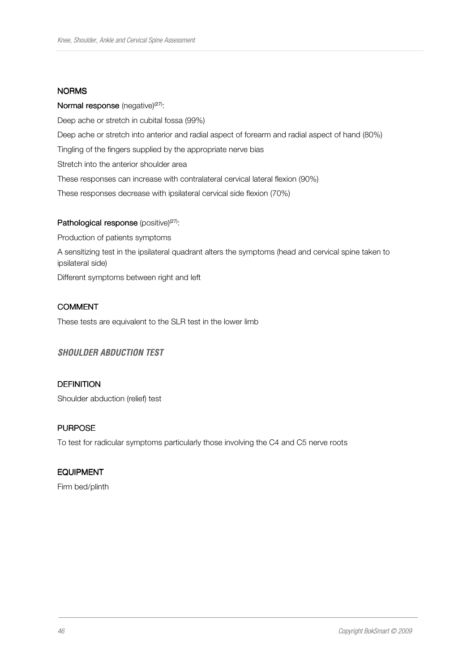#### NORMS

## Normal response (negative) $(27)$ :

Deep ache or stretch in cubital fossa (99%) Deep ache or stretch into anterior and radial aspect of forearm and radial aspect of hand (80%) Tingling of the fingers supplied by the appropriate nerve bias Stretch into the anterior shoulder area These responses can increase with contralateral cervical lateral flexion (90%) These responses decrease with ipsilateral cervical side flexion (70%)

## Pathological response (positive)<sup>(27)</sup>:

Production of patients symptoms

A sensitizing test in the ipsilateral quadrant alters the symptoms (head and cervical spine taken to ipsilateral side)

Different symptoms between right and left

# **COMMENT**

These tests are equivalent to the SLR test in the lower limb

# **SHOULDER ABDUCTION TEST**

#### **DEFINITION**

Shoulder abduction (relief) test

# **PURPOSE**

To test for radicular symptoms particularly those involving the C4 and C5 nerve roots

#### EQUIPMENT

Firm bed/plinth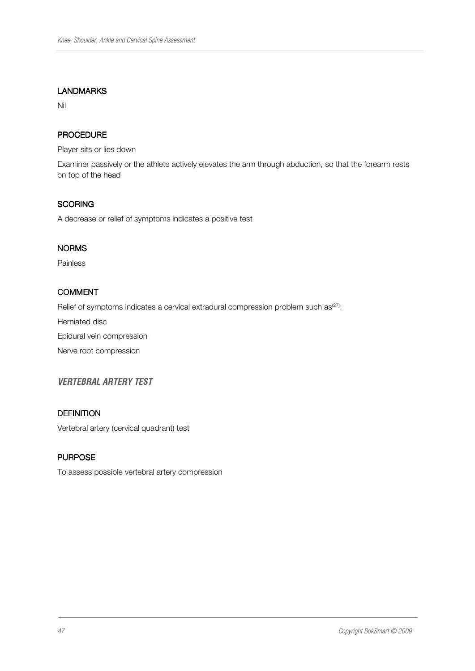#### LANDMARKS

Nil

# PROCEDURE

Player sits or lies down

Examiner passively or the athlete actively elevates the arm through abduction, so that the forearm rests on top of the head

#### **SCORING**

A decrease or relief of symptoms indicates a positive test

## NORMS

Painless

# **COMMENT**

Relief of symptoms indicates a cervical extradural compression problem such as ${}^{(27)}$ :

Herniated disc

Epidural vein compression

Nerve root compression

# **VERTEBRAL ARTERY TEST**

#### **DEFINITION**

Vertebral artery (cervical quadrant) test

#### **PURPOSE**

To assess possible vertebral artery compression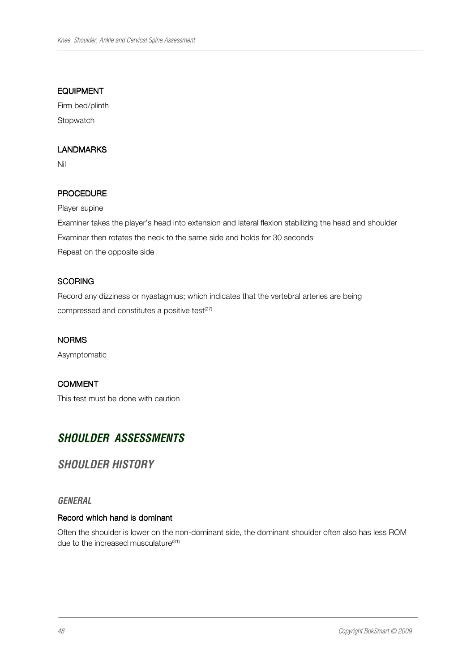#### EQUIPMENT

Firm bed/plinth **Stopwatch** 

# LANDMARKS

Nil

# PROCEDURE

Player supine

Examiner takes the player's head into extension and lateral flexion stabilizing the head and shoulder Examiner then rotates the neck to the same side and holds for 30 seconds Repeat on the opposite side

## **SCORING**

Record any dizziness or nyastagmus; which indicates that the vertebral arteries are being compressed and constitutes a positive test<sup>(27)</sup>

#### NORMS

Asymptomatic

# COMMENT

This test must be done with caution

# **SHOULDER ASSESSMENTS**

# **SHOULDER HISTORY**

#### **GENERAL**

#### Record which hand is dominant

Often the shoulder is lower on the non-dominant side, the dominant shoulder often also has less ROM due to the increased musculature<sup>(31)</sup>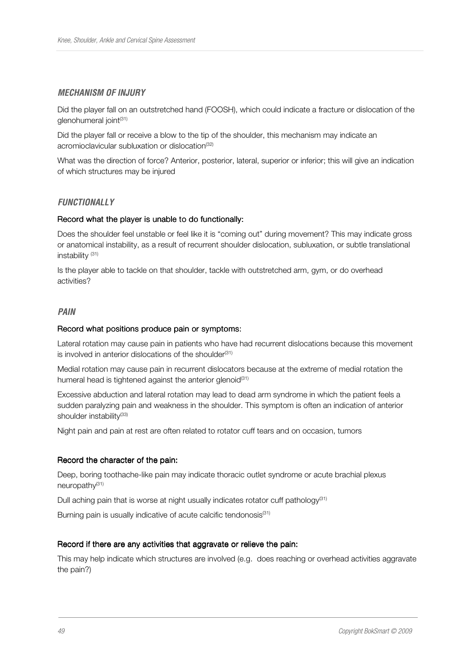#### **MECHANISM OF INJURY**

Did the player fall on an outstretched hand (FOOSH), which could indicate a fracture or dislocation of the glenohumeral joint<sup>(31)</sup>

Did the player fall or receive a blow to the tip of the shoulder, this mechanism may indicate an acromioclavicular subluxation or dislocation<sup>(32)</sup>

What was the direction of force? Anterior, posterior, lateral, superior or inferior; this will give an indication of which structures may be injured

#### **FUNCTIONALLY**

#### Record what the player is unable to do functionally:

Does the shoulder feel unstable or feel like it is "coming out" during movement? This may indicate gross or anatomical instability, as a result of recurrent shoulder dislocation, subluxation, or subtle translational instability <sup>(31)</sup>

Is the player able to tackle on that shoulder, tackle with outstretched arm, gym, or do overhead activities?

#### **PAIN**

#### Record what positions produce pain or symptoms:

Lateral rotation may cause pain in patients who have had recurrent dislocations because this movement is involved in anterior dislocations of the shoulder<sup>(31)</sup>

Medial rotation may cause pain in recurrent dislocators because at the extreme of medial rotation the humeral head is tightened against the anterior glenoid $(31)$ 

Excessive abduction and lateral rotation may lead to dead arm syndrome in which the patient feels a sudden paralyzing pain and weakness in the shoulder. This symptom is often an indication of anterior shoulder instability<sup>(33)</sup>

Night pain and pain at rest are often related to rotator cuff tears and on occasion, tumors

#### Record the character of the pain:

Deep, boring toothache-like pain may indicate thoracic outlet syndrome or acute brachial plexus neuropathy<sup>(31)</sup>

Dull aching pain that is worse at night usually indicates rotator cuff pathology<sup>(31)</sup>

Burning pain is usually indicative of acute calcific tendonosis<sup>(31)</sup>

#### Record if there are any activities that aggravate or relieve the pain:

This may help indicate which structures are involved (e.g. does reaching or overhead activities aggravate the pain?)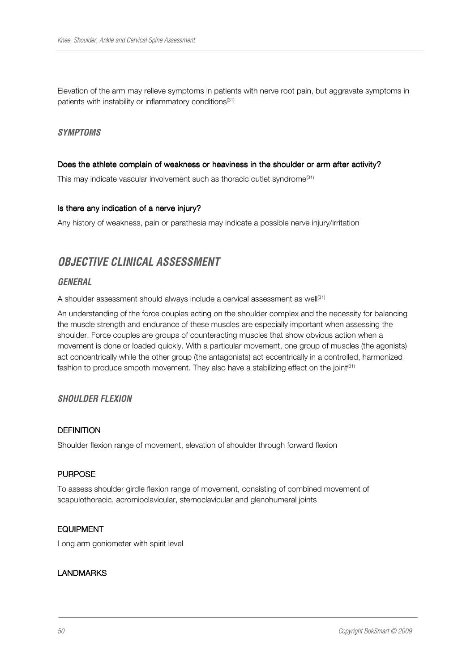Elevation of the arm may relieve symptoms in patients with nerve root pain, but aggravate symptoms in patients with instability or inflammatory conditions<sup>(31)</sup>

#### **SYMPTOMS**

#### Does the athlete complain of weakness or heaviness in the shoulder or arm after activity?

This may indicate vascular involvement such as thoracic outlet syndrome<sup>(31)</sup>

#### Is there any indication of a nerve injury?

Any history of weakness, pain or parathesia may indicate a possible nerve injury/irritation

# **OBJECTIVE CLINICAL ASSESSMENT**

#### **GENERAL**

A shoulder assessment should always include a cervical assessment as well ${}^{(31)}$ 

An understanding of the force couples acting on the shoulder complex and the necessity for balancing the muscle strength and endurance of these muscles are especially important when assessing the shoulder. Force couples are groups of counteracting muscles that show obvious action when a movement is done or loaded quickly. With a particular movement, one group of muscles (the agonists) act concentrically while the other group (the antagonists) act eccentrically in a controlled, harmonized fashion to produce smooth movement. They also have a stabilizing effect on the joint<sup>(31)</sup>

## **SHOULDER FLEXION**

#### **DEFINITION**

Shoulder flexion range of movement, elevation of shoulder through forward flexion

#### **PURPOSE**

To assess shoulder girdle flexion range of movement, consisting of combined movement of scapulothoracic, acromioclavicular, sternoclavicular and glenohumeral joints

#### EQUIPMENT

Long arm goniometer with spirit level

#### LANDMARKS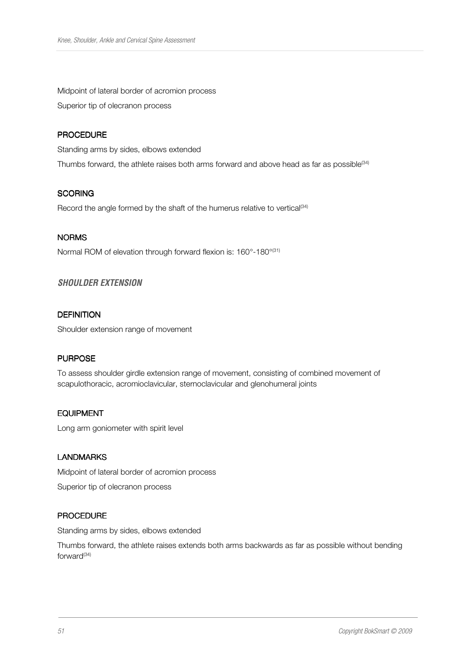Midpoint of lateral border of acromion process Superior tip of olecranon process

## **PROCEDURE**

Standing arms by sides, elbows extended Thumbs forward, the athlete raises both arms forward and above head as far as possible $^{(34)}$ 

## **SCORING**

Record the angle formed by the shaft of the humerus relative to vertical<sup>(34)</sup>

#### NORMS

Normal ROM of elevation through forward flexion is: 160°-180°<sup>(31)</sup>

## **SHOULDER EXTENSION**

## **DEFINITION**

Shoulder extension range of movement

#### **PURPOSE**

To assess shoulder girdle extension range of movement, consisting of combined movement of scapulothoracic, acromioclavicular, sternoclavicular and glenohumeral joints

#### **EQUIPMENT**

Long arm goniometer with spirit level

#### LANDMARKS

Midpoint of lateral border of acromion process Superior tip of olecranon process

#### **PROCEDURE**

Standing arms by sides, elbows extended

Thumbs forward, the athlete raises extends both arms backwards as far as possible without bending forward<sup>(34)</sup>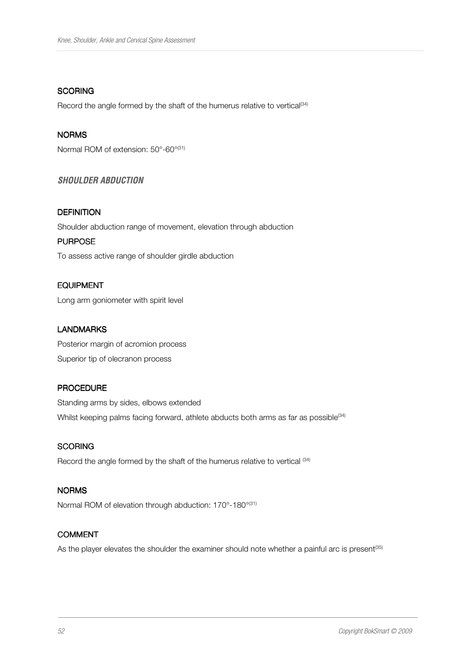## **SCORING**

Record the angle formed by the shaft of the humerus relative to vertical<sup>(34)</sup>

# NORMS

Normal ROM of extension: 50°-60°<sup>(31)</sup>

# **SHOULDER ABDUCTION**

#### **DEFINITION**

Shoulder abduction range of movement, elevation through abduction

## **PURPOSE**

To assess active range of shoulder girdle abduction

## EQUIPMENT

Long arm goniometer with spirit level

#### LANDMARKS

Posterior margin of acromion process Superior tip of olecranon process

#### PROCEDURE

Standing arms by sides, elbows extended Whilst keeping palms facing forward, athlete abducts both arms as far as possible<sup>(34)</sup>

#### **SCORING**

Record the angle formed by the shaft of the humerus relative to vertical <sup>(34)</sup>

#### NORMS

Normal ROM of elevation through abduction: 170°-180°<sup>(31)</sup>

#### COMMENT

As the player elevates the shoulder the examiner should note whether a painful arc is present<sup>(35)</sup>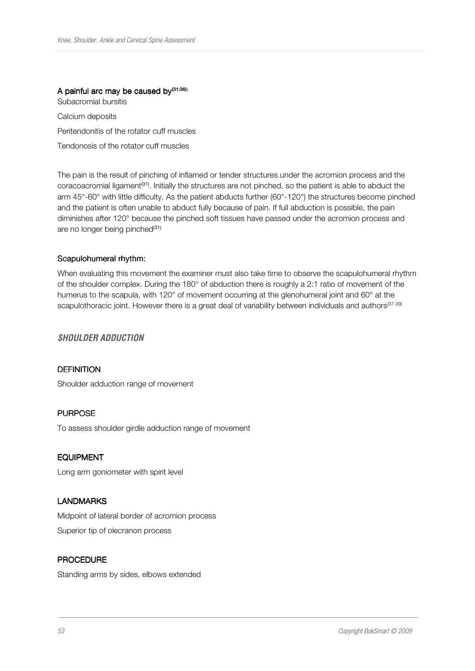# A painful arc may be caused by $(31;36)$ :

Subacromial bursitis Calcium deposits Peritendonitis of the rotator cuff muscles Tendonosis of the rotator cuff muscles

The pain is the result of pinching of inflamed or tender structures under the acromion process and the coracoacromial ligament<sup>(31)</sup>. Initially the structures are not pinched, so the patient is able to abduct the arm 45°-60° with little difficulty. As the patient abducts further (60°-120°) the structures become pinched and the patient is often unable to abduct fully because of pain. If full abduction is possible, the pain diminishes after 120° because the pinched soft tissues have passed under the acromion process and are no longer being pinched<sup>(31)</sup>

#### Scapulohumeral rhythm:

When evaluating this movement the examiner must also take time to observe the scapulohumeral rhythm of the shoulder complex. During the 180° of abduction there is roughly a 2:1 ratio of movement of the humerus to the scapula, with 120° of movement occurring at the glenohumeral joint and 60° at the scapulothoracic joint. However there is a great deal of variability between individuals and authors<sup>(37-39)</sup>

#### **SHOULDER ADDUCTION**

#### **DEFINITION**

Shoulder adduction range of movement

#### **PURPOSE**

To assess shoulder girdle adduction range of movement

#### EQUIPMENT

Long arm goniometer with spirit level

#### LANDMARKS

Midpoint of lateral border of acromion process Superior tip of olecranon process

#### **PROCEDURE**

Standing arms by sides, elbows extended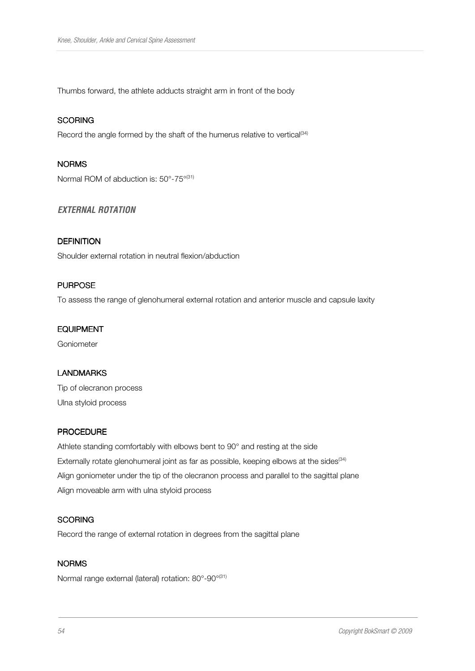Thumbs forward, the athlete adducts straight arm in front of the body

## **SCORING**

Record the angle formed by the shaft of the humerus relative to vertical<sup>(34)</sup>

#### NORMS

Normal ROM of abduction is: 50°-75°<sup>(31)</sup>

# **EXTERNAL ROTATION**

## **DEFINITION**

Shoulder external rotation in neutral flexion/abduction

## **PURPOSE**

To assess the range of glenohumeral external rotation and anterior muscle and capsule laxity

#### EQUIPMENT

Goniometer

#### LANDMARKS

Tip of olecranon process Ulna styloid process

## **PROCEDURE**

Athlete standing comfortably with elbows bent to 90° and resting at the side Externally rotate glenohumeral joint as far as possible, keeping elbows at the sides  $(34)$ Align goniometer under the tip of the olecranon process and parallel to the sagittal plane Align moveable arm with ulna styloid process

# **SCORING**

Record the range of external rotation in degrees from the sagittal plane

## NORMS

Normal range external (lateral) rotation: 80°-90°(31)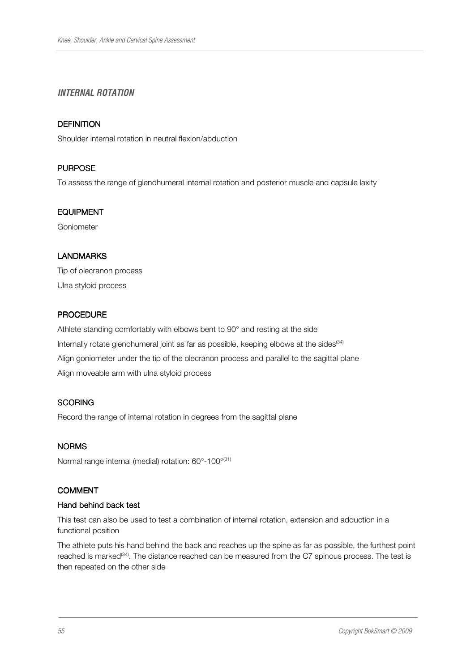# **INTERNAL ROTATION**

# **DEFINITION**

Shoulder internal rotation in neutral flexion/abduction

## **PURPOSE**

To assess the range of glenohumeral internal rotation and posterior muscle and capsule laxity

#### EQUIPMENT

Goniometer

# LANDMARKS

Tip of olecranon process Ulna styloid process

## **PROCEDURE**

Athlete standing comfortably with elbows bent to 90° and resting at the side Internally rotate glenohumeral joint as far as possible, keeping elbows at the sides  $(34)$ Align goniometer under the tip of the olecranon process and parallel to the sagittal plane Align moveable arm with ulna styloid process

#### **SCORING**

Record the range of internal rotation in degrees from the sagittal plane

#### NORMS

Normal range internal (medial) rotation: 60°-100°(31)

#### COMMENT

#### Hand behind back test

This test can also be used to test a combination of internal rotation, extension and adduction in a functional position

The athlete puts his hand behind the back and reaches up the spine as far as possible, the furthest point reached is marked<sup>(34)</sup>. The distance reached can be measured from the C7 spinous process. The test is then repeated on the other side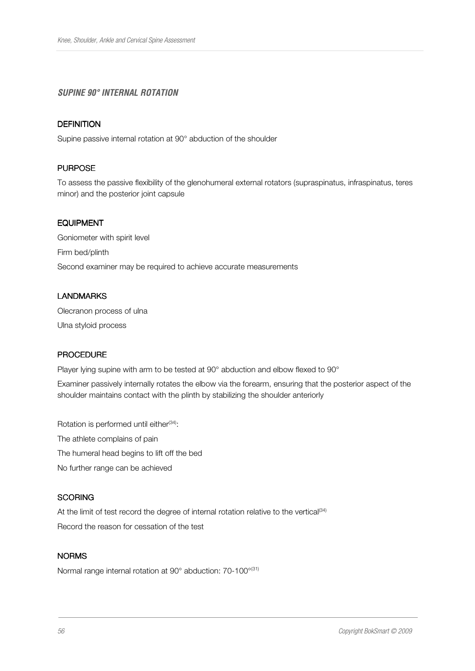# **SUPINE 90° INTERNAL ROTATION**

# **DEFINITION**

Supine passive internal rotation at 90° abduction of the shoulder

## **PURPOSE**

To assess the passive flexibility of the glenohumeral external rotators (supraspinatus, infraspinatus, teres minor) and the posterior joint capsule

#### EQUIPMENT

Goniometer with spirit level Firm bed/plinth Second examiner may be required to achieve accurate measurements

## LANDMARKS

Olecranon process of ulna Ulna styloid process

#### PROCEDURE

Player lying supine with arm to be tested at 90° abduction and elbow flexed to 90°

Examiner passively internally rotates the elbow via the forearm, ensuring that the posterior aspect of the shoulder maintains contact with the plinth by stabilizing the shoulder anteriorly

Rotation is performed until either<sup>(34)</sup>: The athlete complains of pain The humeral head begins to lift off the bed No further range can be achieved

#### **SCORING**

At the limit of test record the degree of internal rotation relative to the vertical<sup>(34)</sup> Record the reason for cessation of the test

# **NORMS**

Normal range internal rotation at 90° abduction: 70-100°<sup>(31)</sup>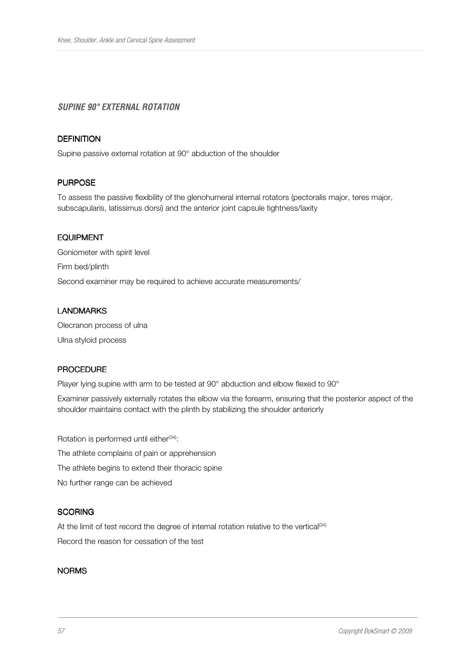# **SUPINE 90° EXTERNAL ROTATION**

#### **DEFINITION**

Supine passive external rotation at 90° abduction of the shoulder

#### **PURPOSE**

To assess the passive flexibility of the glenohumeral internal rotators (pectoralis major, teres major, subscapularis, latissimus dorsi) and the anterior joint capsule tightness/laxity

#### **FOUPMENT**

Goniometer with spirit level Firm bed/plinth Second examiner may be required to achieve accurate measurements/

#### LANDMARKS

Olecranon process of ulna Ulna styloid process

#### **PROCEDURE**

Player lying supine with arm to be tested at 90° abduction and elbow flexed to 90°

Examiner passively externally rotates the elbow via the forearm, ensuring that the posterior aspect of the shoulder maintains contact with the plinth by stabilizing the shoulder anteriorly

Rotation is performed until either<sup>(34)</sup>: The athlete complains of pain or apprehension The athlete begins to extend their thoracic spine No further range can be achieved

#### **SCORING**

At the limit of test record the degree of internal rotation relative to the vertical<sup>(34)</sup> Record the reason for cessation of the test

## **NORMS**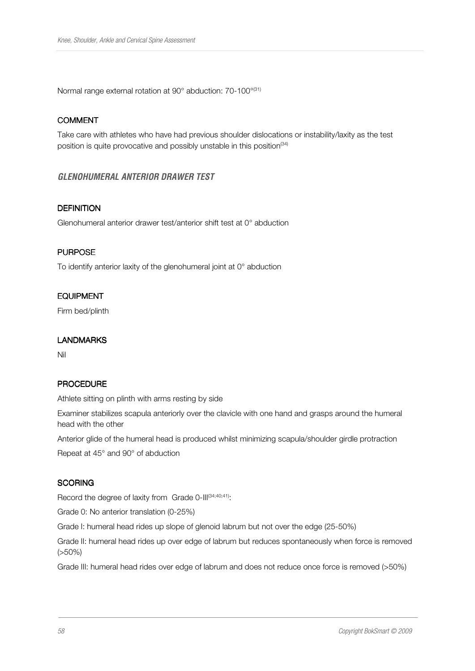Normal range external rotation at 90° abduction: 70-100°(31)

## COMMENT

Take care with athletes who have had previous shoulder dislocations or instability/laxity as the test position is quite provocative and possibly unstable in this position<sup>(34)</sup>

# **GLENOHUMERAL ANTERIOR DRAWER TEST**

#### **DEFINITION**

Glenohumeral anterior drawer test/anterior shift test at 0° abduction

#### **PURPOSE**

To identify anterior laxity of the glenohumeral joint at 0° abduction

## **EQUIPMENT**

Firm bed/plinth

#### LANDMARKS

Nil

#### **PROCEDURE**

Athlete sitting on plinth with arms resting by side

Examiner stabilizes scapula anteriorly over the clavicle with one hand and grasps around the humeral head with the other

Anterior glide of the humeral head is produced whilst minimizing scapula/shoulder girdle protraction

Repeat at 45° and 90° of abduction

#### **SCORING**

Record the degree of laxity from Grade 0-III(34;40;41):

Grade 0: No anterior translation (0-25%)

Grade I: humeral head rides up slope of glenoid labrum but not over the edge (25-50%)

Grade II: humeral head rides up over edge of labrum but reduces spontaneously when force is removed (>50%)

Grade III: humeral head rides over edge of labrum and does not reduce once force is removed (>50%)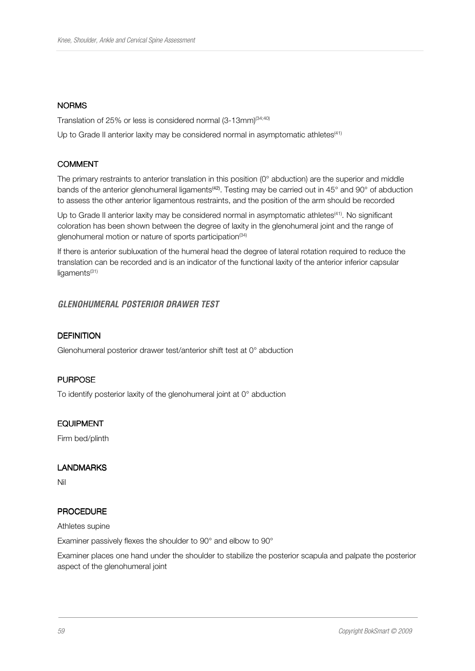#### **NORMS**

Translation of 25% or less is considered normal (3-13mm)<sup>(34;40)</sup>

Up to Grade II anterior laxity may be considered normal in asymptomatic athletes<sup>(41)</sup>

## COMMENT

The primary restraints to anterior translation in this position (0° abduction) are the superior and middle bands of the anterior glenohumeral ligaments<sup>(42)</sup>. Testing may be carried out in 45° and 90° of abduction to assess the other anterior ligamentous restraints, and the position of the arm should be recorded

Up to Grade II anterior laxity may be considered normal in asymptomatic athletes<sup>(41)</sup>. No significant coloration has been shown between the degree of laxity in the glenohumeral joint and the range of glenohumeral motion or nature of sports participation<sup>(34)</sup>

If there is anterior subluxation of the humeral head the degree of lateral rotation required to reduce the translation can be recorded and is an indicator of the functional laxity of the anterior inferior capsular ligaments<sup>(31)</sup>

# **GLENOHUMERAL POSTERIOR DRAWER TEST**

# **DEFINITION**

Glenohumeral posterior drawer test/anterior shift test at 0° abduction

#### **PURPOSE**

To identify posterior laxity of the glenohumeral joint at 0° abduction

#### **EQUIPMENT**

Firm bed/plinth

#### LANDMARKS

Nil

#### **PROCEDURE**

Athletes supine

Examiner passively flexes the shoulder to 90° and elbow to 90°

Examiner places one hand under the shoulder to stabilize the posterior scapula and palpate the posterior aspect of the glenohumeral joint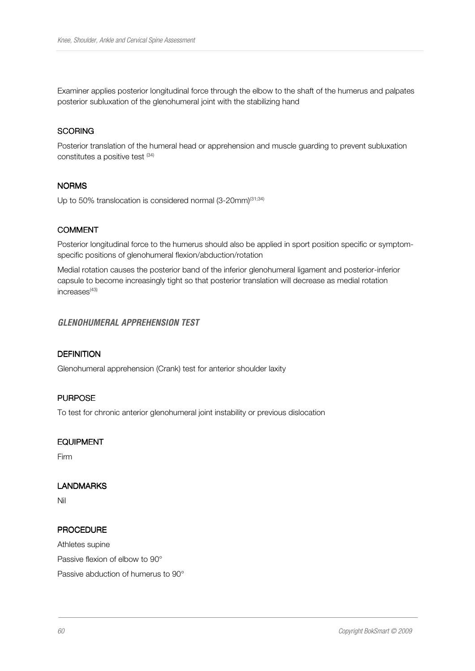Examiner applies posterior longitudinal force through the elbow to the shaft of the humerus and palpates posterior subluxation of the glenohumeral joint with the stabilizing hand

#### **SCORING**

Posterior translation of the humeral head or apprehension and muscle guarding to prevent subluxation constitutes a positive test (34)

#### **NORMS**

Up to 50% translocation is considered normal  $(3{\text -}20\text{mm})^{(31;34)}$ 

## COMMENT

Posterior longitudinal force to the humerus should also be applied in sport position specific or symptomspecific positions of glenohumeral flexion/abduction/rotation

Medial rotation causes the posterior band of the inferior glenohumeral ligament and posterior-inferior capsule to become increasingly tight so that posterior translation will decrease as medial rotation increases<sup>(43)</sup>

#### **GLENOHUMERAL APPREHENSION TEST**

## **DEFINITION**

Glenohumeral apprehension (Crank) test for anterior shoulder laxity

#### **PURPOSE**

To test for chronic anterior glenohumeral joint instability or previous dislocation

#### **EQUIPMENT**

Firm

#### LANDMARKS

Nil

#### **PROCEDURE**

Athletes supine

Passive flexion of elbow to 90°

Passive abduction of humerus to 90°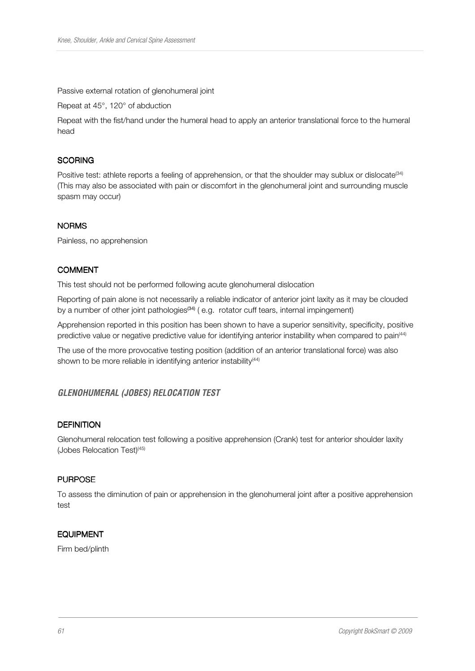Passive external rotation of glenohumeral joint

Repeat at 45°, 120° of abduction

Repeat with the fist/hand under the humeral head to apply an anterior translational force to the humeral head

#### **SCORING**

Positive test: athlete reports a feeling of apprehension, or that the shoulder may sublux or dislocate<sup>(34)</sup> (This may also be associated with pain or discomfort in the glenohumeral joint and surrounding muscle spasm may occur)

## **NORMS**

Painless, no apprehension

# **COMMENT**

This test should not be performed following acute glenohumeral dislocation

Reporting of pain alone is not necessarily a reliable indicator of anterior joint laxity as it may be clouded by a number of other joint pathologies<sup>(34)</sup> (e.g. rotator cuff tears, internal impingement)

Apprehension reported in this position has been shown to have a superior sensitivity, specificity, positive predictive value or negative predictive value for identifying anterior instability when compared to pain<sup>(44)</sup>

The use of the more provocative testing position (addition of an anterior translational force) was also shown to be more reliable in identifying anterior instability<sup>(44)</sup>

# **GLENOHUMERAL (JOBES) RELOCATION TEST**

#### **DEFINITION**

Glenohumeral relocation test following a positive apprehension (Crank) test for anterior shoulder laxity (Jobes Relocation Test)<sup>(45)</sup>

# **PURPOSE**

To assess the diminution of pain or apprehension in the glenohumeral joint after a positive apprehension test

#### EQUIPMENT

Firm bed/plinth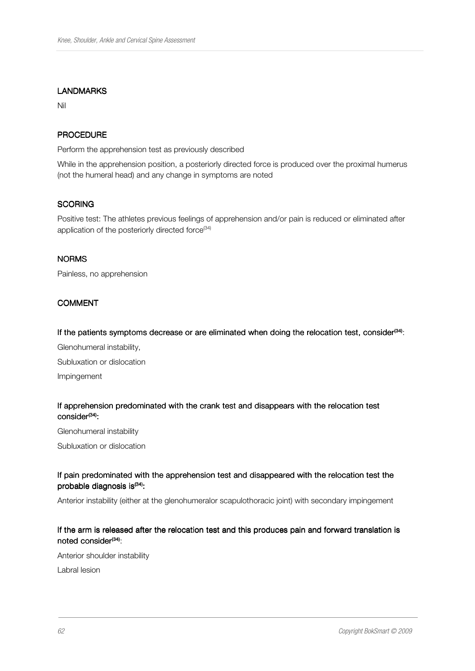#### LANDMARKS

Nil

## **PROCEDURE**

Perform the apprehension test as previously described

While in the apprehension position, a posteriorly directed force is produced over the proximal humerus (not the humeral head) and any change in symptoms are noted

#### **SCORING**

Positive test: The athletes previous feelings of apprehension and/or pain is reduced or eliminated after application of the posteriorly directed force $(34)$ 

#### **NORMS**

Painless, no apprehension

#### COMMENT

#### If the patients symptoms decrease or are eliminated when doing the relocation test, consider<sup>(34)</sup>:

Glenohumeral instability, Subluxation or dislocation Impingement

#### If apprehension predominated with the crank test and disappears with the relocation test consider<sup>(34)</sup>:

Glenohumeral instability

Subluxation or dislocation

#### If pain predominated with the apprehension test and disappeared with the relocation test the probable diagnosis is<sup>(34)</sup>:

Anterior instability (either at the glenohumeralor scapulothoracic joint) with secondary impingement

## If the arm is released after the relocation test and this produces pain and forward translation is noted consider<sup>(34)</sup>:

Anterior shoulder instability

Labral lesion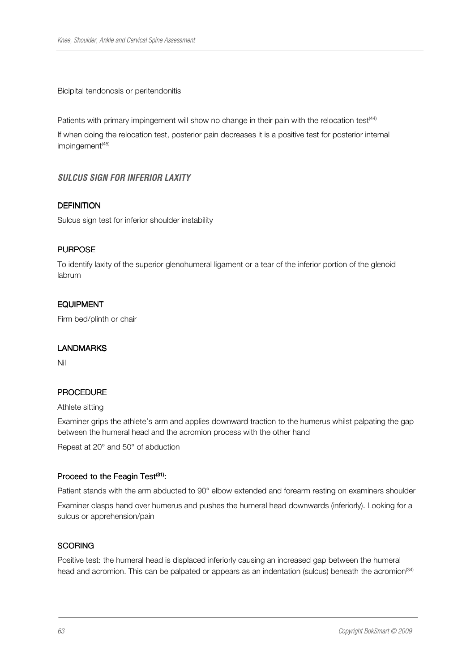Bicipital tendonosis or peritendonitis

Patients with primary impingement will show no change in their pain with the relocation test<sup>(44)</sup>

If when doing the relocation test, posterior pain decreases it is a positive test for posterior internal impingement<sup>(45)</sup>

## **SULCUS SIGN FOR INFERIOR LAXITY**

#### **DEFINITION**

Sulcus sign test for inferior shoulder instability

#### **PURPOSE**

To identify laxity of the superior glenohumeral ligament or a tear of the inferior portion of the glenoid labrum

#### EQUIPMENT

Firm bed/plinth or chair

#### LANDMARKS

Nil

#### PROCEDURE

#### Athlete sitting

Examiner grips the athlete's arm and applies downward traction to the humerus whilst palpating the gap between the humeral head and the acromion process with the other hand

Repeat at 20° and 50° of abduction

#### Proceed to the Feagin Test<sup>(31)</sup>:

Patient stands with the arm abducted to 90° elbow extended and forearm resting on examiners shoulder Examiner clasps hand over humerus and pushes the humeral head downwards (inferiorly). Looking for a sulcus or apprehension/pain

#### **SCORING**

Positive test: the humeral head is displaced inferiorly causing an increased gap between the humeral head and acromion. This can be palpated or appears as an indentation (sulcus) beneath the acromion<sup>(34)</sup>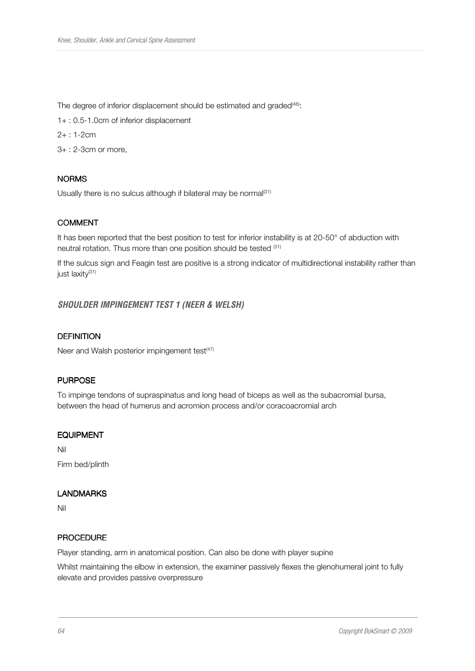The degree of inferior displacement should be estimated and graded<sup>(46)</sup>:

1+ : 0.5-1.0cm of inferior displacement

- 2+ : 1-2cm
- 3+ : 2-3cm or more,

## **NORMS**

Usually there is no sulcus although if bilateral may be normal $(31)$ 

## **COMMENT**

It has been reported that the best position to test for inferior instability is at 20-50° of abduction with neutral rotation. Thus more than one position should be tested (31)

If the sulcus sign and Feagin test are positive is a strong indicator of multidirectional instability rather than just laxity<sup>(31)</sup>

## **SHOULDER IMPINGEMENT TEST 1 (NEER & WELSH)**

#### **DEFINITION**

Neer and Walsh posterior impingement test<sup>(47)</sup>

# **PURPOSE**

To impinge tendons of supraspinatus and long head of biceps as well as the subacromial bursa, between the head of humerus and acromion process and/or coracoacromial arch

#### EQUIPMENT

Nil

Firm bed/plinth

#### LANDMARKS

Nil

#### **PROCEDURE**

Player standing, arm in anatomical position. Can also be done with player supine

Whilst maintaining the elbow in extension, the examiner passively flexes the glenohumeral joint to fully elevate and provides passive overpressure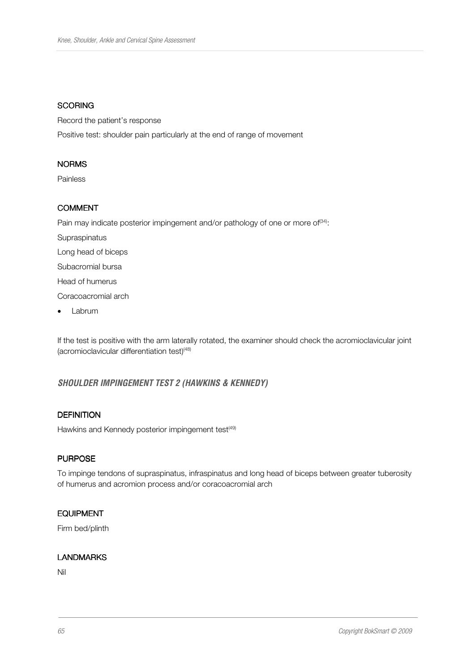#### **SCORING**

Record the patient's response Positive test: shoulder pain particularly at the end of range of movement

#### NORMS

Painless

#### COMMENT

Pain may indicate posterior impingement and/or pathology of one or more of<sup>(34)</sup>: Supraspinatus Long head of biceps

Subacromial bursa

Head of humerus

Coracoacromial arch

• Labrum

If the test is positive with the arm laterally rotated, the examiner should check the acromioclavicular joint (acromioclavicular differentiation test) $(48)$ 

# **SHOULDER IMPINGEMENT TEST 2 (HAWKINS & KENNEDY)**

## **DEFINITION**

Hawkins and Kennedy posterior impingement test<sup>(49)</sup>

#### **PURPOSE**

To impinge tendons of supraspinatus, infraspinatus and long head of biceps between greater tuberosity of humerus and acromion process and/or coracoacromial arch

# EQUIPMENT

Firm bed/plinth

#### **LANDMARKS**

Nil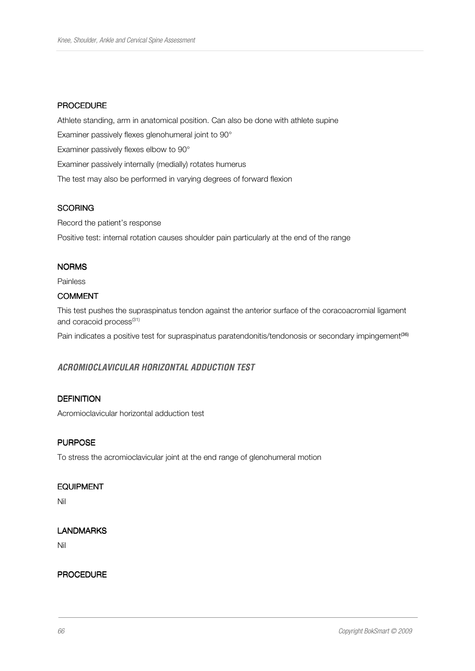#### **PROCEDURE**

Athlete standing, arm in anatomical position. Can also be done with athlete supine Examiner passively flexes glenohumeral joint to 90° Examiner passively flexes elbow to 90° Examiner passively internally (medially) rotates humerus The test may also be performed in varying degrees of forward flexion

## **SCORING**

Record the patient's response

Positive test: internal rotation causes shoulder pain particularly at the end of the range

#### **NORMS**

Painless

## COMMENT

This test pushes the supraspinatus tendon against the anterior surface of the coracoacromial ligament and coracoid process<sup>(31)</sup>

Pain indicates a positive test for supraspinatus paratendonitis/tendonosis or secondary impingement<sup>(36)</sup>

# **ACROMIOCLAVICULAR HORIZONTAL ADDUCTION TEST**

# **DEFINITION**

Acromioclavicular horizontal adduction test

# **PURPOSE**

To stress the acromioclavicular joint at the end range of glenohumeral motion

#### EQUIPMENT

Nil

## LANDMARKS

Nil

#### **PROCEDURE**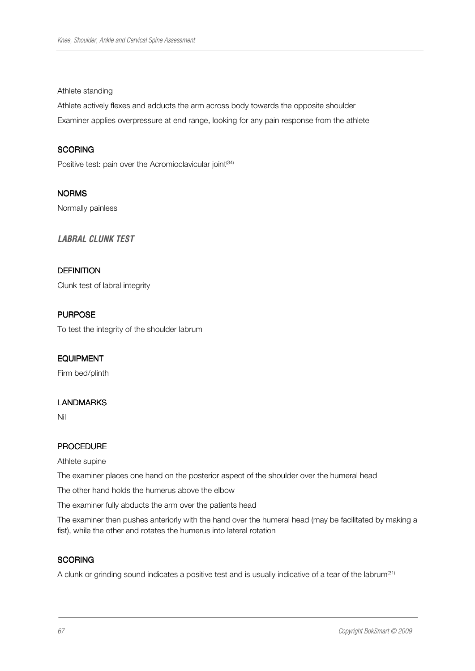#### Athlete standing

Athlete actively flexes and adducts the arm across body towards the opposite shoulder Examiner applies overpressure at end range, looking for any pain response from the athlete

## **SCORING**

Positive test: pain over the Acromioclavicular joint<sup>(34)</sup>

NORMS Normally painless

**LABRAL CLUNK TEST** 

#### **DEFINITION**

Clunk test of labral integrity

## **PURPOSE**

To test the integrity of the shoulder labrum

#### EQUIPMENT

Firm bed/plinth

#### LANDMARKS

Nil

#### PROCEDURE

Athlete supine

The examiner places one hand on the posterior aspect of the shoulder over the humeral head

The other hand holds the humerus above the elbow

The examiner fully abducts the arm over the patients head

The examiner then pushes anteriorly with the hand over the humeral head (may be facilitated by making a fist), while the other and rotates the humerus into lateral rotation

#### **SCORING**

A clunk or grinding sound indicates a positive test and is usually indicative of a tear of the labrum<sup>(31)</sup>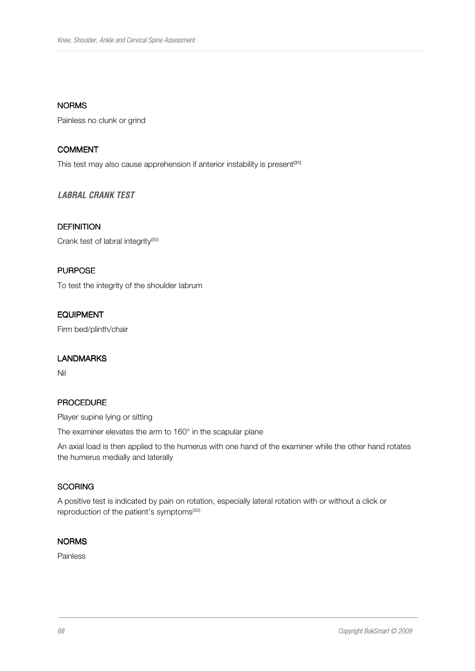## **NORMS**

Painless no clunk or grind

#### COMMENT

This test may also cause apprehension if anterior instability is present<sup>(31)</sup>

## **LABRAL CRANK TEST**

## **DEFINITION**

Crank test of labral integrity<sup>(50)</sup>

#### **PURPOSE**

To test the integrity of the shoulder labrum

## EQUIPMENT

Firm bed/plinth/chair

#### LANDMARKS

Nil

#### PROCEDURE

Player supine lying or sitting

The examiner elevates the arm to 160° in the scapular plane

An axial load is then applied to the humerus with one hand of the examiner while the other hand rotates the humerus medially and laterally

# **SCORING**

A positive test is indicated by pain on rotation, especially lateral rotation with or without a click or reproduction of the patient's symptoms<sup>(50)</sup>

#### NORMS

Painless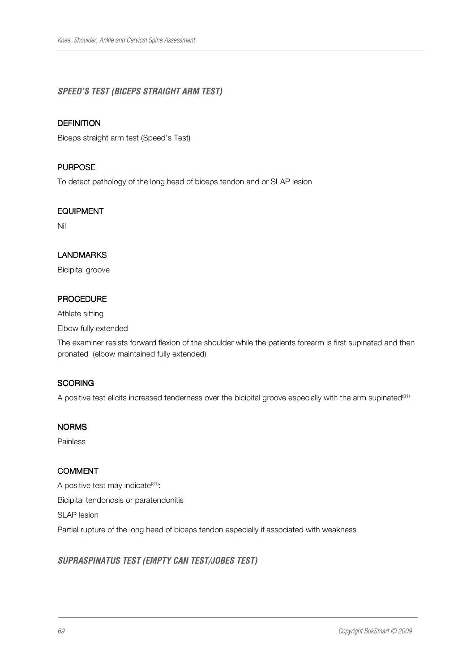# **SPEED'S TEST (BICEPS STRAIGHT ARM TEST)**

#### **DEFINITION**

Biceps straight arm test (Speed's Test)

#### **PURPOSE**

To detect pathology of the long head of biceps tendon and or SLAP lesion

#### EQUIPMENT

Nil

## LANDMARKS

Bicipital groove

## PROCEDURE

Athlete sitting

Elbow fully extended

The examiner resists forward flexion of the shoulder while the patients forearm is first supinated and then pronated (elbow maintained fully extended)

#### **SCORING**

A positive test elicits increased tenderness over the bicipital groove especially with the arm supinated<sup>(31)</sup>

#### NORMS

Painless

#### COMMENT

A positive test may indicate<sup>(31)</sup>: Bicipital tendonosis or paratendonitis SLAP lesion Partial rupture of the long head of biceps tendon especially if associated with weakness

# **SUPRASPINATUS TEST (EMPTY CAN TEST/JOBES TEST)**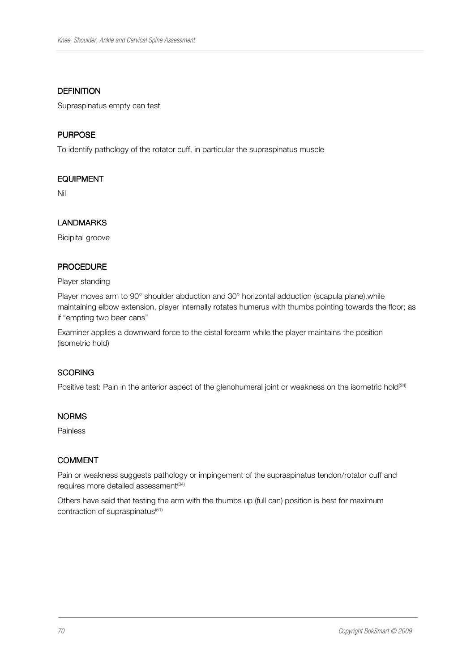#### **DEFINITION**

Supraspinatus empty can test

## **PURPOSE**

To identify pathology of the rotator cuff, in particular the supraspinatus muscle

## EQUIPMENT

Nil

# LANDMARKS

Bicipital groove

# PROCEDURE

#### Player standing

Player moves arm to 90° shoulder abduction and 30° horizontal adduction (scapula plane), while maintaining elbow extension, player internally rotates humerus with thumbs pointing towards the floor; as if "empting two beer cans"

Examiner applies a downward force to the distal forearm while the player maintains the position (isometric hold)

## **SCORING**

Positive test: Pain in the anterior aspect of the glenohumeral joint or weakness on the isometric hold<sup>(34)</sup>

#### NORMS

Painless

# COMMENT

Pain or weakness suggests pathology or impingement of the supraspinatus tendon/rotator cuff and requires more detailed assessment<sup>(34)</sup>

Others have said that testing the arm with the thumbs up (full can) position is best for maximum contraction of supraspinatus<sup>(51)</sup>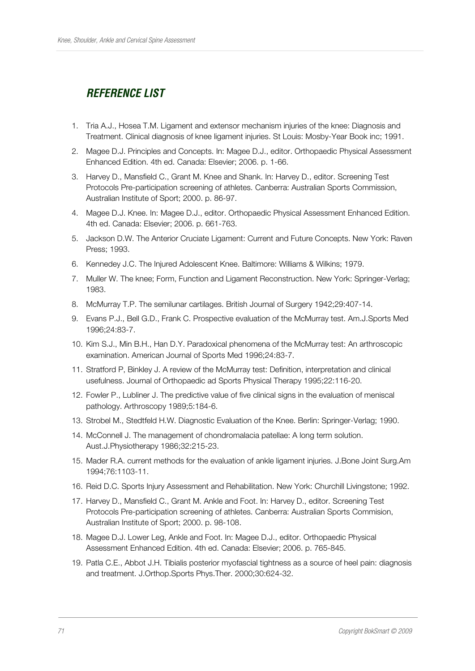# **REFERENCE LIST**

- 1. Tria A.J., Hosea T.M. Ligament and extensor mechanism injuries of the knee: Diagnosis and Treatment. Clinical diagnosis of knee ligament injuries. St Louis: Mosby-Year Book inc; 1991.
- 2. Magee D.J. Principles and Concepts. In: Magee D.J., editor. Orthopaedic Physical Assessment Enhanced Edition. 4th ed. Canada: Elsevier; 2006. p. 1-66.
- 3. Harvey D., Mansfield C., Grant M. Knee and Shank. In: Harvey D., editor. Screening Test Protocols Pre-participation screening of athletes. Canberra: Australian Sports Commission, Australian Institute of Sport; 2000. p. 86-97.
- 4. Magee D.J. Knee. In: Magee D.J., editor. Orthopaedic Physical Assessment Enhanced Edition. 4th ed. Canada: Elsevier; 2006. p. 661-763.
- 5. Jackson D.W. The Anterior Cruciate Ligament: Current and Future Concepts. New York: Raven Press; 1993.
- 6. Kennedey J.C. The Injured Adolescent Knee. Baltimore: Williams & Wilkins; 1979.
- 7. Muller W. The knee; Form, Function and Ligament Reconstruction. New York: Springer-Verlag; 1983.
- 8. McMurray T.P. The semilunar cartilages. British Journal of Surgery 1942;29:407-14.
- 9. Evans P.J., Bell G.D., Frank C. Prospective evaluation of the McMurray test. Am.J.Sports Med 1996;24:83-7.
- 10. Kim S.J., Min B.H., Han D.Y. Paradoxical phenomena of the McMurray test: An arthroscopic examination. American Journal of Sports Med 1996;24:83-7.
- 11. Stratford P, Binkley J. A review of the McMurray test: Definition, interpretation and clinical usefulness. Journal of Orthopaedic ad Sports Physical Therapy 1995;22:116-20.
- 12. Fowler P., Lubliner J. The predictive value of five clinical signs in the evaluation of meniscal pathology. Arthroscopy 1989;5:184-6.
- 13. Strobel M., Stedtfeld H.W. Diagnostic Evaluation of the Knee. Berlin: Springer-Verlag; 1990.
- 14. McConnell J. The management of chondromalacia patellae: A long term solution. Aust.J.Physiotherapy 1986;32:215-23.
- 15. Mader R.A. current methods for the evaluation of ankle ligament injuries. J.Bone Joint Surg.Am 1994;76:1103-11.
- 16. Reid D.C. Sports Injury Assessment and Rehabilitation. New York: Churchill Livingstone; 1992.
- 17. Harvey D., Mansfield C., Grant M. Ankle and Foot. In: Harvey D., editor. Screening Test Protocols Pre-participation screening of athletes. Canberra: Australian Sports Commision, Australian Institute of Sport; 2000. p. 98-108.
- 18. Magee D.J. Lower Leg, Ankle and Foot. In: Magee D.J., editor. Orthopaedic Physical Assessment Enhanced Edition. 4th ed. Canada: Elsevier; 2006. p. 765-845.
- 19. Patla C.E., Abbot J.H. Tibialis posterior myofascial tightness as a source of heel pain: diagnosis and treatment. J.Orthop.Sports Phys.Ther. 2000;30:624-32.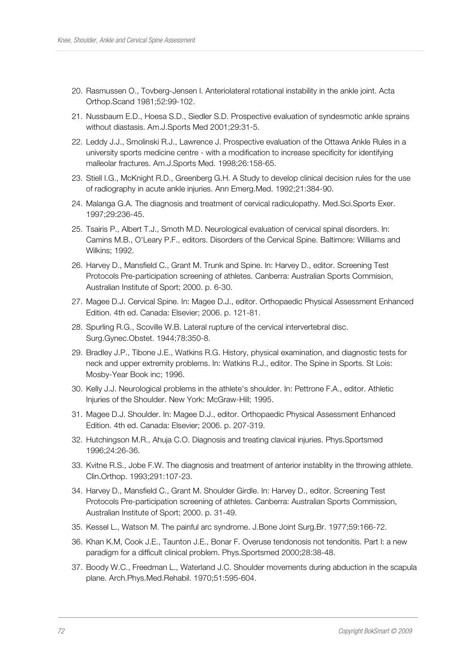- 20. Rasmussen O., Tovberg-Jensen I. Anteriolateral rotational instability in the ankle joint. Acta Orthop.Scand 1981;52:99-102.
- 21. Nussbaum E.D., Hoesa S.D., Siedler S.D. Prospective evaluation of syndesmotic ankle sprains without diastasis. Am.J.Sports Med 2001;29:31-5.
- 22. Leddy J.J., Smolinski R.J., Lawrence J. Prospective evaluation of the Ottawa Ankle Rules in a university sports medicine centre - with a modification to increase specificity for identifying malleolar fractures. Am.J.Sports Med. 1998;26:158-65.
- 23. Stiell I.G., McKnight R.D., Greenberg G.H. A Study to develop clinical decision rules for the use of radiography in acute ankle injuries. Ann Emerg.Med. 1992;21:384-90.
- 24. Malanga G.A. The diagnosis and treatment of cervical radiculopathy. Med.Sci.Sports Exer. 1997;29:236-45.
- 25. Tsairis P., Albert T.J., Smoth M.D. Neurological evaluation of cervical spinal disorders. In: Camins M.B., O'Leary P.F., editors. Disorders of the Cervical Spine. Baltimore: Williams and Wilkins; 1992.
- 26. Harvey D., Mansfield C., Grant M. Trunk and Spine. In: Harvey D., editor. Screening Test Protocols Pre-participation screening of athletes. Canberra: Australian Sports Commision, Australian Institute of Sport; 2000. p. 6-30.
- 27. Magee D.J. Cervical Spine. In: Magee D.J., editor. Orthopaedic Physical Assessment Enhanced Edition. 4th ed. Canada: Elsevier; 2006. p. 121-81.
- 28. Spurling R.G., Scoville W.B. Lateral rupture of the cervical intervertebral disc. Surg.Gynec.Obstet. 1944;78:350-8.
- 29. Bradley J.P., Tibone J.E., Watkins R.G. History, physical examination, and diagnostic tests for neck and upper extremity problems. In: Watkins R.J., editor. The Spine in Sports. St Lois: Mosby-Year Book inc; 1996.
- 30. Kelly J.J. Neurological problems in the athlete's shoulder. In: Pettrone F.A., editor. Athletic Injuries of the Shoulder. New York: McGraw-Hill; 1995.
- 31. Magee D.J. Shoulder. In: Magee D.J., editor. Orthopaedic Physical Assessment Enhanced Edition. 4th ed. Canada: Elsevier; 2006. p. 207-319.
- 32. Hutchingson M.R., Ahuja C.O. Diagnosis and treating clavical injuries. Phys.Sportsmed 1996;24:26-36.
- 33. Kvitne R.S., Jobe F.W. The diagnosis and treatment of anterior instablity in the throwing athlete. Clin.Orthop. 1993;291:107-23.
- 34. Harvey D., Mansfield C., Grant M. Shoulder Girdle. In: Harvey D., editor. Screening Test Protocols Pre-participation screening of athletes. Canberra: Australian Sports Commission, Australian Institute of Sport; 2000. p. 31-49.
- 35. Kessel L., Watson M. The painful arc syndrome. J.Bone Joint Surg.Br. 1977;59:166-72.
- 36. Khan K.M, Cook J.E., Taunton J.E., Bonar F. Overuse tendonosis not tendonitis. Part I: a new paradigm for a difficult clinical problem. Phys.Sportsmed 2000;28:38-48.
- 37. Boody W.C., Freedman L., Waterland J.C. Shoulder movements during abduction in the scapula plane. Arch.Phys.Med.Rehabil. 1970;51:595-604.